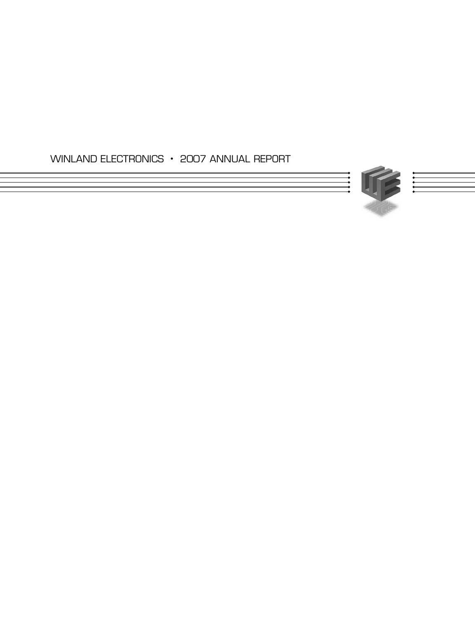WINLAND ELECTRONICS • 2007 ANNUAL REPORT

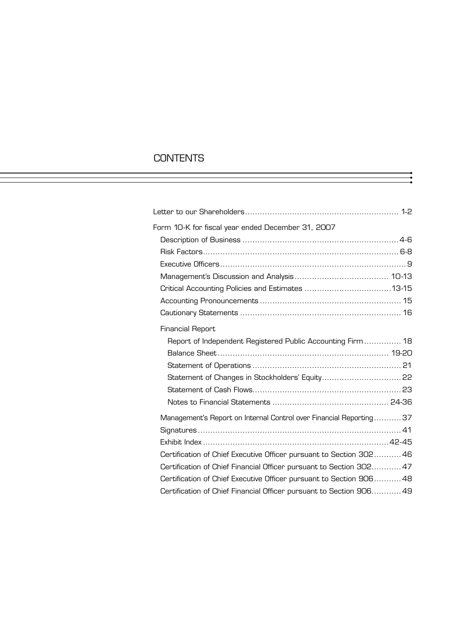# **CONTENTS**

| Form 10-K for fiscal year ended December 31, 2007                   |  |
|---------------------------------------------------------------------|--|
|                                                                     |  |
|                                                                     |  |
|                                                                     |  |
|                                                                     |  |
|                                                                     |  |
|                                                                     |  |
|                                                                     |  |
| <b>Financial Report</b>                                             |  |
| Report of Independent Registered Public Accounting Firm 18          |  |
|                                                                     |  |
|                                                                     |  |
| Statement of Changes in Stockholders' Equity 22                     |  |
|                                                                     |  |
|                                                                     |  |
| Management's Report on Internal Control over Financial Reporting 37 |  |
|                                                                     |  |
|                                                                     |  |
| Certification of Chief Executive Officer pursuant to Section 302 46 |  |
| Certification of Chief Financial Officer pursuant to Section 302 47 |  |
| Certification of Chief Executive Officer pursuant to Section 906 48 |  |
| Certification of Chief Financial Officer pursuant to Section 906 49 |  |
|                                                                     |  |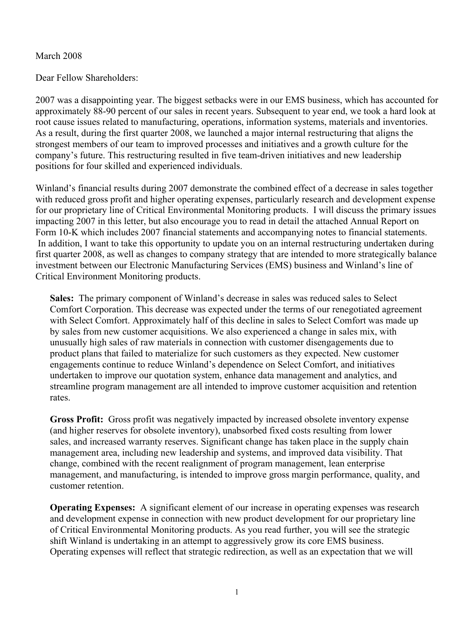# March 2008

Dear Fellow Shareholders:

2007 was a disappointing year. The biggest setbacks were in our EMS business, which has accounted for approximately 88-90 percent of our sales in recent years. Subsequent to year end, we took a hard look at root cause issues related to manufacturing, operations, information systems, materials and inventories. As a result, during the first quarter 2008, we launched a major internal restructuring that aligns the strongest members of our team to improved processes and initiatives and a growth culture for the company's future. This restructuring resulted in five team-driven initiatives and new leadership positions for four skilled and experienced individuals.

Winland's financial results during 2007 demonstrate the combined effect of a decrease in sales together with reduced gross profit and higher operating expenses, particularly research and development expense for our proprietary line of Critical Environmental Monitoring products. I will discuss the primary issues impacting 2007 in this letter, but also encourage you to read in detail the attached Annual Report on Form 10-K which includes 2007 financial statements and accompanying notes to financial statements. In addition, I want to take this opportunity to update you on an internal restructuring undertaken during first quarter 2008, as well as changes to company strategy that are intended to more strategically balance investment between our Electronic Manufacturing Services (EMS) business and Winland's line of Critical Environment Monitoring products.

**Sales:** The primary component of Winland's decrease in sales was reduced sales to Select Comfort Corporation. This decrease was expected under the terms of our renegotiated agreement with Select Comfort. Approximately half of this decline in sales to Select Comfort was made up by sales from new customer acquisitions. We also experienced a change in sales mix, with unusually high sales of raw materials in connection with customer disengagements due to product plans that failed to materialize for such customers as they expected. New customer engagements continue to reduce Winland's dependence on Select Comfort, and initiatives undertaken to improve our quotation system, enhance data management and analytics, and streamline program management are all intended to improve customer acquisition and retention rates.

**Gross Profit:** Gross profit was negatively impacted by increased obsolete inventory expense (and higher reserves for obsolete inventory), unabsorbed fixed costs resulting from lower sales, and increased warranty reserves. Significant change has taken place in the supply chain management area, including new leadership and systems, and improved data visibility. That change, combined with the recent realignment of program management, lean enterprise management, and manufacturing, is intended to improve gross margin performance, quality, and customer retention.

**Operating Expenses:** A significant element of our increase in operating expenses was research and development expense in connection with new product development for our proprietary line of Critical Environmental Monitoring products. As you read further, you will see the strategic shift Winland is undertaking in an attempt to aggressively grow its core EMS business. Operating expenses will reflect that strategic redirection, as well as an expectation that we will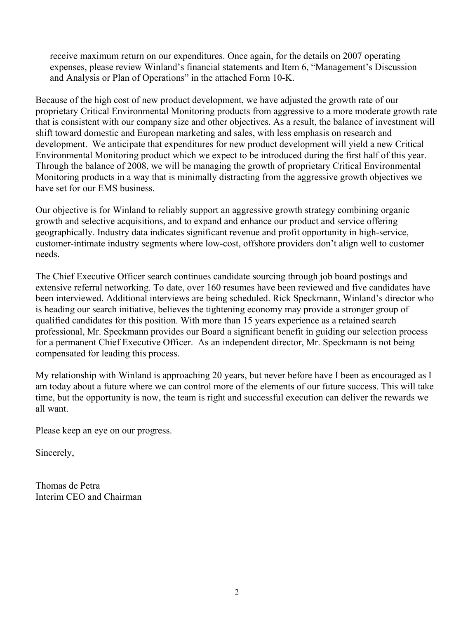receive maximum return on our expenditures. Once again, for the details on 2007 operating expenses, please review Winland's financial statements and Item 6, "Management's Discussion and Analysis or Plan of Operations" in the attached Form 10-K.

Because of the high cost of new product development, we have adjusted the growth rate of our proprietary Critical Environmental Monitoring products from aggressive to a more moderate growth rate that is consistent with our company size and other objectives. As a result, the balance of investment will shift toward domestic and European marketing and sales, with less emphasis on research and development. We anticipate that expenditures for new product development will yield a new Critical Environmental Monitoring product which we expect to be introduced during the first half of this year. Through the balance of 2008, we will be managing the growth of proprietary Critical Environmental Monitoring products in a way that is minimally distracting from the aggressive growth objectives we have set for our EMS business.

Our objective is for Winland to reliably support an aggressive growth strategy combining organic growth and selective acquisitions, and to expand and enhance our product and service offering geographically. Industry data indicates significant revenue and profit opportunity in high-service, customer-intimate industry segments where low-cost, offshore providers don't align well to customer needs.

The Chief Executive Officer search continues candidate sourcing through job board postings and extensive referral networking. To date, over 160 resumes have been reviewed and five candidates have been interviewed. Additional interviews are being scheduled. Rick Speckmann, Winland's director who is heading our search initiative, believes the tightening economy may provide a stronger group of qualified candidates for this position. With more than 15 years experience as a retained search professional, Mr. Speckmann provides our Board a significant benefit in guiding our selection process for a permanent Chief Executive Officer. As an independent director, Mr. Speckmann is not being compensated for leading this process.

My relationship with Winland is approaching 20 years, but never before have I been as encouraged as I am today about a future where we can control more of the elements of our future success. This will take time, but the opportunity is now, the team is right and successful execution can deliver the rewards we all want.

Please keep an eye on our progress.

Sincerely,

Thomas de Petra Interim CEO and Chairman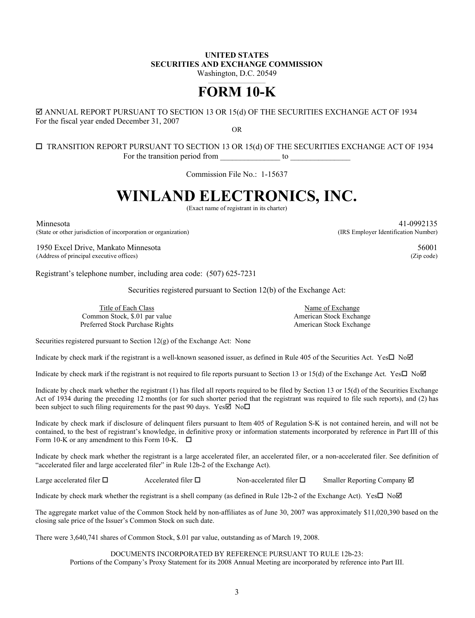#### **UNITED STATES SECURITIES AND EXCHANGE COMMISSION**  Washington, D.C. 20549

# **FORM 10-K**

## $\boxtimes$  ANNUAL REPORT PURSUANT TO SECTION 13 OR 15(d) OF THE SECURITIES EXCHANGE ACT OF 1934 For the fiscal year ended December 31, 2007

OR

 TRANSITION REPORT PURSUANT TO SECTION 13 OR 15(d) OF THE SECURITIES EXCHANGE ACT OF 1934 For the transition period from \_\_\_\_\_\_\_\_\_\_\_\_\_\_\_ to \_\_\_\_\_\_\_\_\_\_\_\_\_\_\_

Commission File No.: 1-15637

# **WINLAND ELECTRONICS, INC.**

(Exact name of registrant in its charter)

Minnesota 41-0992135 (State or other jurisdiction of incorporation or organization) (IRS Employer Identification Number)

1950 Excel Drive, Mankato Minnesota 56001 (Address of principal executive offices) (Zip code)

Registrant's telephone number, including area code: (507) 625-7231

Securities registered pursuant to Section 12(b) of the Exchange Act:

Title of Each Class Name of Exchange Common Stock, \$.01 par value American Stock Exchange Preferred Stock Purchase Rights American Stock Exchange

Securities registered pursuant to Section 12(g) of the Exchange Act: None

Indicate by check mark if the registrant is a well-known seasoned issuer, as defined in Rule 405 of the Securities Act. Yes $\Box$  No $\Box$ 

Indicate by check mark if the registrant is not required to file reports pursuant to Section 13 or 15(d) of the Exchange Act. Yes $\Box$  No $\Box$ 

Indicate by check mark whether the registrant (1) has filed all reports required to be filed by Section 13 or 15(d) of the Securities Exchange Act of 1934 during the preceding 12 months (or for such shorter period that the registrant was required to file such reports), and (2) has been subject to such filing requirements for the past 90 days. Yes $\boxtimes$  No $\Box$ 

Indicate by check mark if disclosure of delinquent filers pursuant to Item 405 of Regulation S-K is not contained herein, and will not be contained, to the best of registrant's knowledge, in definitive proxy or information statements incorporated by reference in Part III of this Form 10-K or any amendment to this Form 10-K.  $\Box$ 

Indicate by check mark whether the registrant is a large accelerated filer, an accelerated filer, or a non-accelerated filer. See definition of "accelerated filer and large accelerated filer" in Rule 12b-2 of the Exchange Act).

Large accelerated filer  $\square$  Accelerated filer  $\square$  Non-accelerated filer  $\square$  Smaller Reporting Company  $\square$ 

Indicate by check mark whether the registrant is a shell company (as defined in Rule 12b-2 of the Exchange Act). Yes $\Box$  No $\Box$ 

The aggregate market value of the Common Stock held by non-affiliates as of June 30, 2007 was approximately \$11,020,390 based on the closing sale price of the Issuer's Common Stock on such date.

There were 3,640,741 shares of Common Stock, \$.01 par value, outstanding as of March 19, 2008.

DOCUMENTS INCORPORATED BY REFERENCE PURSUANT TO RULE 12b-23: Portions of the Company's Proxy Statement for its 2008 Annual Meeting are incorporated by reference into Part III.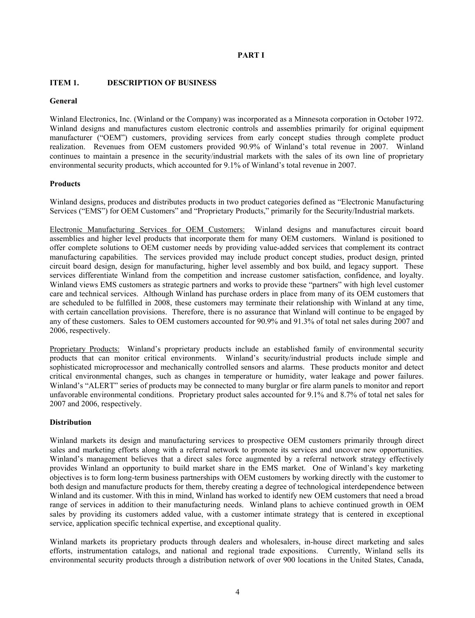#### **PART I**

#### **ITEM 1. DESCRIPTION OF BUSINESS**

#### **General**

Winland Electronics, Inc. (Winland or the Company) was incorporated as a Minnesota corporation in October 1972. Winland designs and manufactures custom electronic controls and assemblies primarily for original equipment manufacturer ("OEM") customers, providing services from early concept studies through complete product realization. Revenues from OEM customers provided 90.9% of Winland's total revenue in 2007. Winland continues to maintain a presence in the security/industrial markets with the sales of its own line of proprietary environmental security products, which accounted for 9.1% of Winland's total revenue in 2007.

#### **Products**

Winland designs, produces and distributes products in two product categories defined as "Electronic Manufacturing Services ("EMS") for OEM Customers" and "Proprietary Products," primarily for the Security/Industrial markets.

Electronic Manufacturing Services for OEM Customers: Winland designs and manufactures circuit board assemblies and higher level products that incorporate them for many OEM customers. Winland is positioned to offer complete solutions to OEM customer needs by providing value-added services that complement its contract manufacturing capabilities. The services provided may include product concept studies, product design, printed circuit board design, design for manufacturing, higher level assembly and box build, and legacy support. These services differentiate Winland from the competition and increase customer satisfaction, confidence, and loyalty. Winland views EMS customers as strategic partners and works to provide these "partners" with high level customer care and technical services. Although Winland has purchase orders in place from many of its OEM customers that are scheduled to be fulfilled in 2008, these customers may terminate their relationship with Winland at any time, with certain cancellation provisions. Therefore, there is no assurance that Winland will continue to be engaged by any of these customers. Sales to OEM customers accounted for 90.9% and 91.3% of total net sales during 2007 and 2006, respectively.

Proprietary Products: Winland's proprietary products include an established family of environmental security products that can monitor critical environments. Winland's security/industrial products include simple and sophisticated microprocessor and mechanically controlled sensors and alarms. These products monitor and detect critical environmental changes, such as changes in temperature or humidity, water leakage and power failures. Winland's "ALERT" series of products may be connected to many burglar or fire alarm panels to monitor and report unfavorable environmental conditions. Proprietary product sales accounted for 9.1% and 8.7% of total net sales for 2007 and 2006, respectively.

#### **Distribution**

Winland markets its design and manufacturing services to prospective OEM customers primarily through direct sales and marketing efforts along with a referral network to promote its services and uncover new opportunities. Winland's management believes that a direct sales force augmented by a referral network strategy effectively provides Winland an opportunity to build market share in the EMS market. One of Winland's key marketing objectives is to form long-term business partnerships with OEM customers by working directly with the customer to both design and manufacture products for them, thereby creating a degree of technological interdependence between Winland and its customer. With this in mind, Winland has worked to identify new OEM customers that need a broad range of services in addition to their manufacturing needs. Winland plans to achieve continued growth in OEM sales by providing its customers added value, with a customer intimate strategy that is centered in exceptional service, application specific technical expertise, and exceptional quality.

Winland markets its proprietary products through dealers and wholesalers, in-house direct marketing and sales efforts, instrumentation catalogs, and national and regional trade expositions. Currently, Winland sells its environmental security products through a distribution network of over 900 locations in the United States, Canada,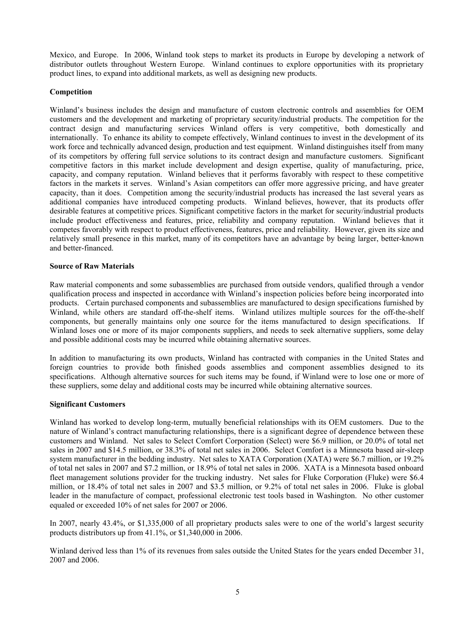Mexico, and Europe. In 2006, Winland took steps to market its products in Europe by developing a network of distributor outlets throughout Western Europe. Winland continues to explore opportunities with its proprietary product lines, to expand into additional markets, as well as designing new products.

#### **Competition**

Winland's business includes the design and manufacture of custom electronic controls and assemblies for OEM customers and the development and marketing of proprietary security/industrial products. The competition for the contract design and manufacturing services Winland offers is very competitive, both domestically and internationally. To enhance its ability to compete effectively, Winland continues to invest in the development of its work force and technically advanced design, production and test equipment. Winland distinguishes itself from many of its competitors by offering full service solutions to its contract design and manufacture customers. Significant competitive factors in this market include development and design expertise, quality of manufacturing, price, capacity, and company reputation. Winland believes that it performs favorably with respect to these competitive factors in the markets it serves. Winland's Asian competitors can offer more aggressive pricing, and have greater capacity, than it does. Competition among the security/industrial products has increased the last several years as additional companies have introduced competing products. Winland believes, however, that its products offer desirable features at competitive prices. Significant competitive factors in the market for security/industrial products include product effectiveness and features, price, reliability and company reputation. Winland believes that it competes favorably with respect to product effectiveness, features, price and reliability. However, given its size and relatively small presence in this market, many of its competitors have an advantage by being larger, better-known and better-financed.

#### **Source of Raw Materials**

Raw material components and some subassemblies are purchased from outside vendors, qualified through a vendor qualification process and inspected in accordance with Winland's inspection policies before being incorporated into products. Certain purchased components and subassemblies are manufactured to design specifications furnished by Winland, while others are standard off-the-shelf items. Winland utilizes multiple sources for the off-the-shelf components, but generally maintains only one source for the items manufactured to design specifications. If Winland loses one or more of its major components suppliers, and needs to seek alternative suppliers, some delay and possible additional costs may be incurred while obtaining alternative sources.

In addition to manufacturing its own products, Winland has contracted with companies in the United States and foreign countries to provide both finished goods assemblies and component assemblies designed to its specifications. Although alternative sources for such items may be found, if Winland were to lose one or more of these suppliers, some delay and additional costs may be incurred while obtaining alternative sources.

#### **Significant Customers**

Winland has worked to develop long-term, mutually beneficial relationships with its OEM customers. Due to the nature of Winland's contract manufacturing relationships, there is a significant degree of dependence between these customers and Winland. Net sales to Select Comfort Corporation (Select) were \$6.9 million, or 20.0% of total net sales in 2007 and \$14.5 million, or 38.3% of total net sales in 2006. Select Comfort is a Minnesota based air-sleep system manufacturer in the bedding industry. Net sales to XATA Corporation (XATA) were \$6.7 million, or 19.2% of total net sales in 2007 and \$7.2 million, or 18.9% of total net sales in 2006. XATA is a Minnesota based onboard fleet management solutions provider for the trucking industry. Net sales for Fluke Corporation (Fluke) were \$6.4 million, or 18.4% of total net sales in 2007 and \$3.5 million, or 9.2% of total net sales in 2006. Fluke is global leader in the manufacture of compact, professional electronic test tools based in Washington. No other customer equaled or exceeded 10% of net sales for 2007 or 2006.

In 2007, nearly 43.4%, or \$1,335,000 of all proprietary products sales were to one of the world's largest security products distributors up from 41.1%, or \$1,340,000 in 2006.

Winland derived less than 1% of its revenues from sales outside the United States for the years ended December 31, 2007 and 2006.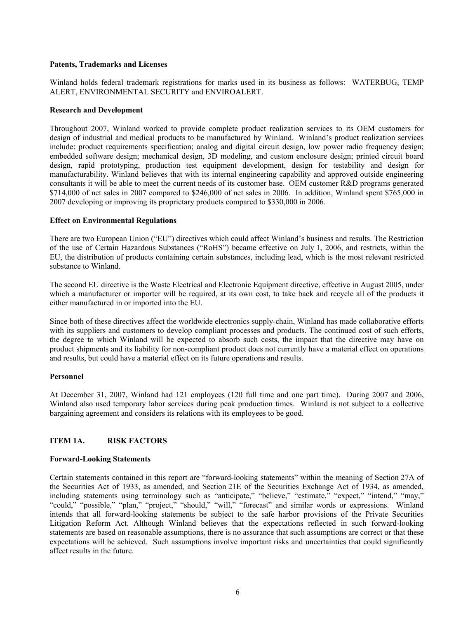#### **Patents, Trademarks and Licenses**

Winland holds federal trademark registrations for marks used in its business as follows: WATERBUG, TEMP ALERT, ENVIRONMENTAL SECURITY and ENVIROALERT.

#### **Research and Development**

Throughout 2007, Winland worked to provide complete product realization services to its OEM customers for design of industrial and medical products to be manufactured by Winland. Winland's product realization services include: product requirements specification; analog and digital circuit design, low power radio frequency design; embedded software design; mechanical design, 3D modeling, and custom enclosure design; printed circuit board design, rapid prototyping, production test equipment development, design for testability and design for manufacturability. Winland believes that with its internal engineering capability and approved outside engineering consultants it will be able to meet the current needs of its customer base. OEM customer R&D programs generated \$714,000 of net sales in 2007 compared to \$246,000 of net sales in 2006. In addition, Winland spent \$765,000 in 2007 developing or improving its proprietary products compared to \$330,000 in 2006.

#### **Effect on Environmental Regulations**

There are two European Union ("EU") directives which could affect Winland's business and results. The Restriction of the use of Certain Hazardous Substances ("RoHS") became effective on July 1, 2006, and restricts, within the EU, the distribution of products containing certain substances, including lead, which is the most relevant restricted substance to Winland.

The second EU directive is the Waste Electrical and Electronic Equipment directive, effective in August 2005, under which a manufacturer or importer will be required, at its own cost, to take back and recycle all of the products it either manufactured in or imported into the EU.

Since both of these directives affect the worldwide electronics supply-chain, Winland has made collaborative efforts with its suppliers and customers to develop compliant processes and products. The continued cost of such efforts, the degree to which Winland will be expected to absorb such costs, the impact that the directive may have on product shipments and its liability for non-compliant product does not currently have a material effect on operations and results, but could have a material effect on its future operations and results.

#### **Personnel**

At December 31, 2007, Winland had 121 employees (120 full time and one part time). During 2007 and 2006, Winland also used temporary labor services during peak production times. Winland is not subject to a collective bargaining agreement and considers its relations with its employees to be good.

#### **ITEM 1A. RISK FACTORS**

#### **Forward-Looking Statements**

Certain statements contained in this report are "forward-looking statements" within the meaning of Section 27A of the Securities Act of 1933, as amended, and Section 21E of the Securities Exchange Act of 1934, as amended, including statements using terminology such as "anticipate," "believe," "estimate," "expect," "intend," "may," "could," "possible," "plan," "project," "should," "will," "forecast" and similar words or expressions. Winland intends that all forward-looking statements be subject to the safe harbor provisions of the Private Securities Litigation Reform Act. Although Winland believes that the expectations reflected in such forward-looking statements are based on reasonable assumptions, there is no assurance that such assumptions are correct or that these expectations will be achieved. Such assumptions involve important risks and uncertainties that could significantly affect results in the future.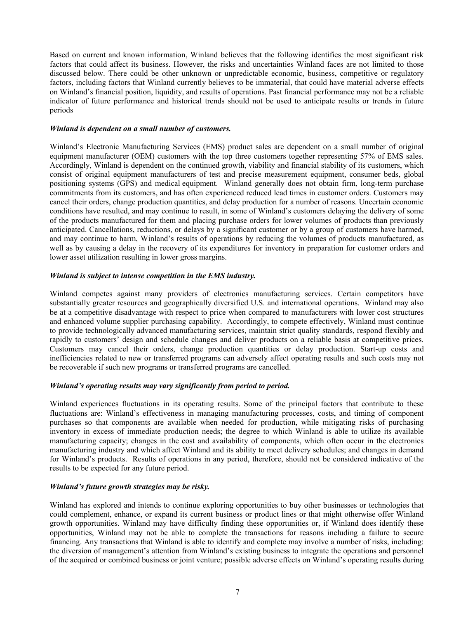Based on current and known information, Winland believes that the following identifies the most significant risk factors that could affect its business. However, the risks and uncertainties Winland faces are not limited to those discussed below. There could be other unknown or unpredictable economic, business, competitive or regulatory factors, including factors that Winland currently believes to be immaterial, that could have material adverse effects on Winland's financial position, liquidity, and results of operations. Past financial performance may not be a reliable indicator of future performance and historical trends should not be used to anticipate results or trends in future periods

#### *Winland is dependent on a small number of customers.*

Winland's Electronic Manufacturing Services (EMS) product sales are dependent on a small number of original equipment manufacturer (OEM) customers with the top three customers together representing 57% of EMS sales. Accordingly, Winland is dependent on the continued growth, viability and financial stability of its customers, which consist of original equipment manufacturers of test and precise measurement equipment, consumer beds, global positioning systems (GPS) and medical equipment. Winland generally does not obtain firm, long-term purchase commitments from its customers, and has often experienced reduced lead times in customer orders. Customers may cancel their orders, change production quantities, and delay production for a number of reasons. Uncertain economic conditions have resulted, and may continue to result, in some of Winland's customers delaying the delivery of some of the products manufactured for them and placing purchase orders for lower volumes of products than previously anticipated. Cancellations, reductions, or delays by a significant customer or by a group of customers have harmed, and may continue to harm, Winland's results of operations by reducing the volumes of products manufactured, as well as by causing a delay in the recovery of its expenditures for inventory in preparation for customer orders and lower asset utilization resulting in lower gross margins.

#### *Winland is subject to intense competition in the EMS industry.*

Winland competes against many providers of electronics manufacturing services. Certain competitors have substantially greater resources and geographically diversified U.S. and international operations. Winland may also be at a competitive disadvantage with respect to price when compared to manufacturers with lower cost structures and enhanced volume supplier purchasing capability. Accordingly, to compete effectively, Winland must continue to provide technologically advanced manufacturing services, maintain strict quality standards, respond flexibly and rapidly to customers' design and schedule changes and deliver products on a reliable basis at competitive prices. Customers may cancel their orders, change production quantities or delay production. Start-up costs and inefficiencies related to new or transferred programs can adversely affect operating results and such costs may not be recoverable if such new programs or transferred programs are cancelled.

#### *Winland's operating results may vary significantly from period to period.*

Winland experiences fluctuations in its operating results. Some of the principal factors that contribute to these fluctuations are: Winland's effectiveness in managing manufacturing processes, costs, and timing of component purchases so that components are available when needed for production, while mitigating risks of purchasing inventory in excess of immediate production needs; the degree to which Winland is able to utilize its available manufacturing capacity; changes in the cost and availability of components, which often occur in the electronics manufacturing industry and which affect Winland and its ability to meet delivery schedules; and changes in demand for Winland's products. Results of operations in any period, therefore, should not be considered indicative of the results to be expected for any future period.

#### *Winland's future growth strategies may be risky.*

Winland has explored and intends to continue exploring opportunities to buy other businesses or technologies that could complement, enhance, or expand its current business or product lines or that might otherwise offer Winland growth opportunities. Winland may have difficulty finding these opportunities or, if Winland does identify these opportunities, Winland may not be able to complete the transactions for reasons including a failure to secure financing. Any transactions that Winland is able to identify and complete may involve a number of risks, including: the diversion of management's attention from Winland's existing business to integrate the operations and personnel of the acquired or combined business or joint venture; possible adverse effects on Winland's operating results during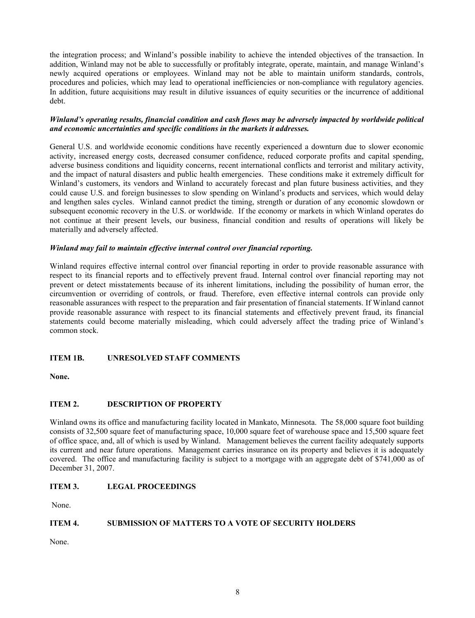the integration process; and Winland's possible inability to achieve the intended objectives of the transaction. In addition, Winland may not be able to successfully or profitably integrate, operate, maintain, and manage Winland's newly acquired operations or employees. Winland may not be able to maintain uniform standards, controls, procedures and policies, which may lead to operational inefficiencies or non-compliance with regulatory agencies. In addition, future acquisitions may result in dilutive issuances of equity securities or the incurrence of additional debt.

#### *Winland's operating results, financial condition and cash flows may be adversely impacted by worldwide political and economic uncertainties and specific conditions in the markets it addresses.*

General U.S. and worldwide economic conditions have recently experienced a downturn due to slower economic activity, increased energy costs, decreased consumer confidence, reduced corporate profits and capital spending, adverse business conditions and liquidity concerns, recent international conflicts and terrorist and military activity, and the impact of natural disasters and public health emergencies. These conditions make it extremely difficult for Winland's customers, its vendors and Winland to accurately forecast and plan future business activities, and they could cause U.S. and foreign businesses to slow spending on Winland's products and services, which would delay and lengthen sales cycles. Winland cannot predict the timing, strength or duration of any economic slowdown or subsequent economic recovery in the U.S. or worldwide. If the economy or markets in which Winland operates do not continue at their present levels, our business, financial condition and results of operations will likely be materially and adversely affected.

#### *Winland may fail to maintain effective internal control over financial reporting.*

Winland requires effective internal control over financial reporting in order to provide reasonable assurance with respect to its financial reports and to effectively prevent fraud. Internal control over financial reporting may not prevent or detect misstatements because of its inherent limitations, including the possibility of human error, the circumvention or overriding of controls, or fraud. Therefore, even effective internal controls can provide only reasonable assurances with respect to the preparation and fair presentation of financial statements. If Winland cannot provide reasonable assurance with respect to its financial statements and effectively prevent fraud, its financial statements could become materially misleading, which could adversely affect the trading price of Winland's common stock.

# **ITEM 1B. UNRESOLVED STAFF COMMENTS**

**None.** 

#### **ITEM 2. DESCRIPTION OF PROPERTY**

Winland owns its office and manufacturing facility located in Mankato, Minnesota. The 58,000 square foot building consists of 32,500 square feet of manufacturing space, 10,000 square feet of warehouse space and 15,500 square feet of office space, and, all of which is used by Winland. Management believes the current facility adequately supports its current and near future operations. Management carries insurance on its property and believes it is adequately covered. The office and manufacturing facility is subject to a mortgage with an aggregate debt of \$741,000 as of December 31, 2007.

# **ITEM 3. LEGAL PROCEEDINGS**

None.

#### **ITEM 4. SUBMISSION OF MATTERS TO A VOTE OF SECURITY HOLDERS**

None.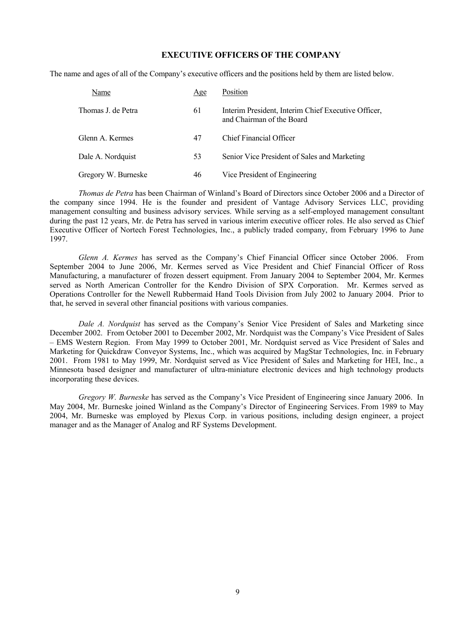#### **EXECUTIVE OFFICERS OF THE COMPANY**

The name and ages of all of the Company's executive officers and the positions held by them are listed below.

| Name                | Age | Position                                                                         |
|---------------------|-----|----------------------------------------------------------------------------------|
| Thomas J. de Petra  | 61  | Interim President, Interim Chief Executive Officer,<br>and Chairman of the Board |
| Glenn A. Kermes     | 47  | <b>Chief Financial Officer</b>                                                   |
| Dale A. Nordquist   | 53  | Senior Vice President of Sales and Marketing                                     |
| Gregory W. Burneske | 46  | Vice President of Engineering                                                    |

*Thomas de Petra* has been Chairman of Winland's Board of Directors since October 2006 and a Director of the company since 1994. He is the founder and president of Vantage Advisory Services LLC, providing management consulting and business advisory services. While serving as a self-employed management consultant during the past 12 years, Mr. de Petra has served in various interim executive officer roles. He also served as Chief Executive Officer of Nortech Forest Technologies, Inc., a publicly traded company, from February 1996 to June 1997.

*Glenn A. Kermes* has served as the Company's Chief Financial Officer since October 2006. From September 2004 to June 2006, Mr. Kermes served as Vice President and Chief Financial Officer of Ross Manufacturing, a manufacturer of frozen dessert equipment. From January 2004 to September 2004, Mr. Kermes served as North American Controller for the Kendro Division of SPX Corporation. Mr. Kermes served as Operations Controller for the Newell Rubbermaid Hand Tools Division from July 2002 to January 2004. Prior to that, he served in several other financial positions with various companies.

*Dale A. Nordquist* has served as the Company's Senior Vice President of Sales and Marketing since December 2002. From October 2001 to December 2002, Mr. Nordquist was the Company's Vice President of Sales – EMS Western Region. From May 1999 to October 2001, Mr. Nordquist served as Vice President of Sales and Marketing for Quickdraw Conveyor Systems, Inc., which was acquired by MagStar Technologies, Inc. in February 2001. From 1981 to May 1999, Mr. Nordquist served as Vice President of Sales and Marketing for HEI, Inc., a Minnesota based designer and manufacturer of ultra-miniature electronic devices and high technology products incorporating these devices.

*Gregory W. Burneske* has served as the Company's Vice President of Engineering since January 2006. In May 2004, Mr. Burneske joined Winland as the Company's Director of Engineering Services. From 1989 to May 2004, Mr. Burneske was employed by Plexus Corp. in various positions, including design engineer, a project manager and as the Manager of Analog and RF Systems Development.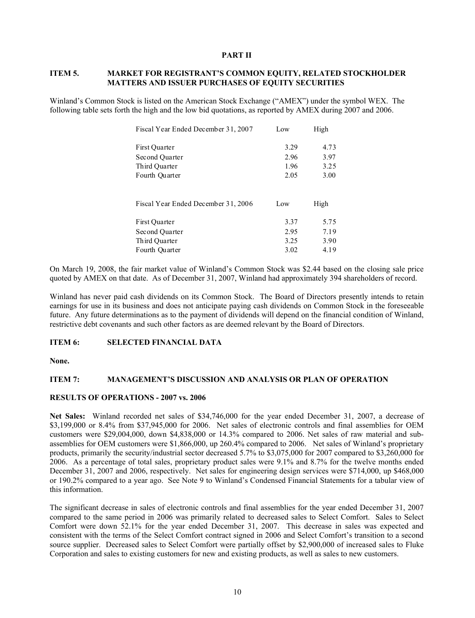#### **PART II**

#### **ITEM 5. MARKET FOR REGISTRANT'S COMMON EQUITY, RELATED STOCKHOLDER MATTERS AND ISSUER PURCHASES OF EQUITY SECURITIES**

Winland's Common Stock is listed on the American Stock Exchange ("AMEX") under the symbol WEX. The following table sets forth the high and the low bid quotations, as reported by AMEX during 2007 and 2006.

| Fiscal Year Ended December 31, 2007 | Low  | High |
|-------------------------------------|------|------|
| First Quarter                       | 3.29 | 4.73 |
| Second Quarter                      | 2.96 | 3.97 |
| Third Quarter                       | 1.96 | 3.25 |
| Fourth Ouarter                      | 2.05 | 3.00 |
| Fiscal Year Ended December 31, 2006 | Low  | High |
| First Quarter                       | 3.37 | 5.75 |
| Second Quarter                      | 2.95 | 7.19 |
| Third Quarter                       | 3.25 | 3.90 |
| Fourth Ouarter                      | 3.02 | 4.19 |

On March 19, 2008, the fair market value of Winland's Common Stock was \$2.44 based on the closing sale price quoted by AMEX on that date. As of December 31, 2007, Winland had approximately 394 shareholders of record.

Winland has never paid cash dividends on its Common Stock. The Board of Directors presently intends to retain earnings for use in its business and does not anticipate paying cash dividends on Common Stock in the foreseeable future. Any future determinations as to the payment of dividends will depend on the financial condition of Winland, restrictive debt covenants and such other factors as are deemed relevant by the Board of Directors.

#### **ITEM 6: SELECTED FINANCIAL DATA**

**None.** 

#### **ITEM 7: MANAGEMENT'S DISCUSSION AND ANALYSIS OR PLAN OF OPERATION**

#### **RESULTS OF OPERATIONS - 2007 vs. 2006**

**Net Sales:** Winland recorded net sales of \$34,746,000 for the year ended December 31, 2007, a decrease of \$3,199,000 or 8.4% from \$37,945,000 for 2006. Net sales of electronic controls and final assemblies for OEM customers were \$29,004,000, down \$4,838,000 or 14.3% compared to 2006. Net sales of raw material and subassemblies for OEM customers were \$1,866,000, up 260.4% compared to 2006. Net sales of Winland's proprietary products, primarily the security/industrial sector decreased 5.7% to \$3,075,000 for 2007 compared to \$3,260,000 for 2006. As a percentage of total sales, proprietary product sales were 9.1% and 8.7% for the twelve months ended December 31, 2007 and 2006, respectively. Net sales for engineering design services were \$714,000, up \$468,000 or 190.2% compared to a year ago. See Note 9 to Winland's Condensed Financial Statements for a tabular view of this information.

The significant decrease in sales of electronic controls and final assemblies for the year ended December 31, 2007 compared to the same period in 2006 was primarily related to decreased sales to Select Comfort. Sales to Select Comfort were down 52.1% for the year ended December 31, 2007. This decrease in sales was expected and consistent with the terms of the Select Comfort contract signed in 2006 and Select Comfort's transition to a second source supplier. Decreased sales to Select Comfort were partially offset by \$2,900,000 of increased sales to Fluke Corporation and sales to existing customers for new and existing products, as well as sales to new customers.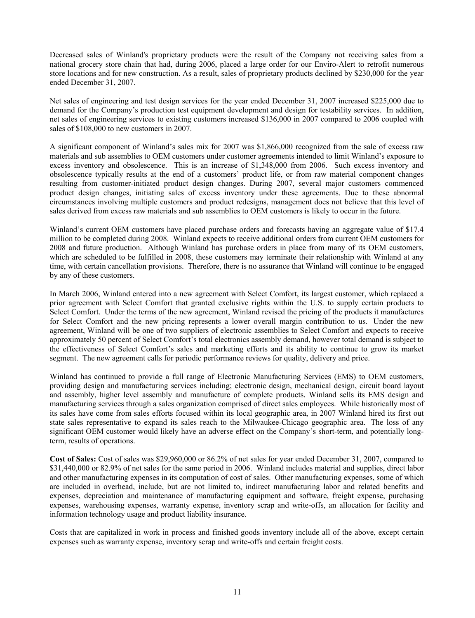Decreased sales of Winland's proprietary products were the result of the Company not receiving sales from a national grocery store chain that had, during 2006, placed a large order for our Enviro-Alert to retrofit numerous store locations and for new construction. As a result, sales of proprietary products declined by \$230,000 for the year ended December 31, 2007.

Net sales of engineering and test design services for the year ended December 31, 2007 increased \$225,000 due to demand for the Company's production test equipment development and design for testability services. In addition, net sales of engineering services to existing customers increased \$136,000 in 2007 compared to 2006 coupled with sales of \$108,000 to new customers in 2007.

A significant component of Winland's sales mix for 2007 was \$1,866,000 recognized from the sale of excess raw materials and sub assemblies to OEM customers under customer agreements intended to limit Winland's exposure to excess inventory and obsolescence. This is an increase of \$1,348,000 from 2006. Such excess inventory and obsolescence typically results at the end of a customers' product life, or from raw material component changes resulting from customer-initiated product design changes. During 2007, several major customers commenced product design changes, initiating sales of excess inventory under these agreements. Due to these abnormal circumstances involving multiple customers and product redesigns, management does not believe that this level of sales derived from excess raw materials and sub assemblies to OEM customers is likely to occur in the future.

Winland's current OEM customers have placed purchase orders and forecasts having an aggregate value of \$17.4 million to be completed during 2008. Winland expects to receive additional orders from current OEM customers for 2008 and future production. Although Winland has purchase orders in place from many of its OEM customers, which are scheduled to be fulfilled in 2008, these customers may terminate their relationship with Winland at any time, with certain cancellation provisions. Therefore, there is no assurance that Winland will continue to be engaged by any of these customers.

In March 2006, Winland entered into a new agreement with Select Comfort, its largest customer, which replaced a prior agreement with Select Comfort that granted exclusive rights within the U.S. to supply certain products to Select Comfort. Under the terms of the new agreement, Winland revised the pricing of the products it manufactures for Select Comfort and the new pricing represents a lower overall margin contribution to us. Under the new agreement, Winland will be one of two suppliers of electronic assemblies to Select Comfort and expects to receive approximately 50 percent of Select Comfort's total electronics assembly demand, however total demand is subject to the effectiveness of Select Comfort's sales and marketing efforts and its ability to continue to grow its market segment. The new agreement calls for periodic performance reviews for quality, delivery and price.

Winland has continued to provide a full range of Electronic Manufacturing Services (EMS) to OEM customers, providing design and manufacturing services including; electronic design, mechanical design, circuit board layout and assembly, higher level assembly and manufacture of complete products. Winland sells its EMS design and manufacturing services through a sales organization comprised of direct sales employees. While historically most of its sales have come from sales efforts focused within its local geographic area, in 2007 Winland hired its first out state sales representative to expand its sales reach to the Milwaukee-Chicago geographic area. The loss of any significant OEM customer would likely have an adverse effect on the Company's short-term, and potentially longterm, results of operations.

**Cost of Sales:** Cost of sales was \$29,960,000 or 86.2% of net sales for year ended December 31, 2007, compared to \$31,440,000 or 82.9% of net sales for the same period in 2006. Winland includes material and supplies, direct labor and other manufacturing expenses in its computation of cost of sales. Other manufacturing expenses, some of which are included in overhead, include, but are not limited to, indirect manufacturing labor and related benefits and expenses, depreciation and maintenance of manufacturing equipment and software, freight expense, purchasing expenses, warehousing expenses, warranty expense, inventory scrap and write-offs, an allocation for facility and information technology usage and product liability insurance.

Costs that are capitalized in work in process and finished goods inventory include all of the above, except certain expenses such as warranty expense, inventory scrap and write-offs and certain freight costs.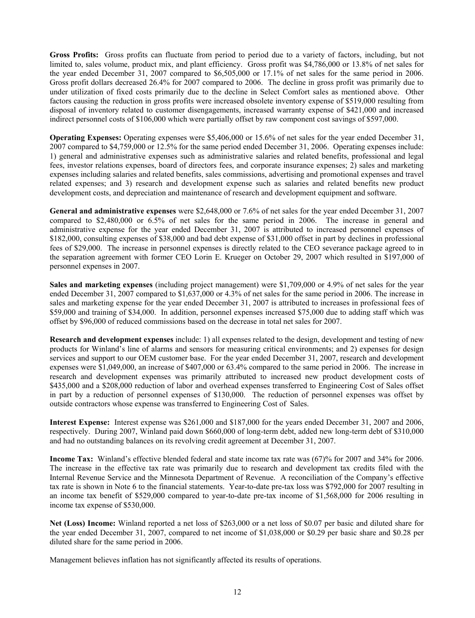**Gross Profits:** Gross profits can fluctuate from period to period due to a variety of factors, including, but not limited to, sales volume, product mix, and plant efficiency. Gross profit was \$4,786,000 or 13.8% of net sales for the year ended December 31, 2007 compared to \$6,505,000 or 17.1% of net sales for the same period in 2006. Gross profit dollars decreased 26.4% for 2007 compared to 2006. The decline in gross profit was primarily due to under utilization of fixed costs primarily due to the decline in Select Comfort sales as mentioned above. Other factors causing the reduction in gross profits were increased obsolete inventory expense of \$519,000 resulting from disposal of inventory related to customer disengagements, increased warranty expense of \$421,000 and increased indirect personnel costs of \$106,000 which were partially offset by raw component cost savings of \$597,000.

**Operating Expenses:** Operating expenses were \$5,406,000 or 15.6% of net sales for the year ended December 31, 2007 compared to \$4,759,000 or 12.5% for the same period ended December 31, 2006. Operating expenses include: 1) general and administrative expenses such as administrative salaries and related benefits, professional and legal fees, investor relations expenses, board of directors fees, and corporate insurance expenses; 2) sales and marketing expenses including salaries and related benefits, sales commissions, advertising and promotional expenses and travel related expenses; and 3) research and development expense such as salaries and related benefits new product development costs, and depreciation and maintenance of research and development equipment and software.

**General and administrative expenses** were \$2,648,000 or 7.6% of net sales for the year ended December 31, 2007 compared to \$2,480,000 or 6.5% of net sales for the same period in 2006. The increase in general and administrative expense for the year ended December 31, 2007 is attributed to increased personnel expenses of \$182,000, consulting expenses of \$38,000 and bad debt expense of \$31,000 offset in part by declines in professional fees of \$29,000. The increase in personnel expenses is directly related to the CEO severance package agreed to in the separation agreement with former CEO Lorin E. Krueger on October 29, 2007 which resulted in \$197,000 of personnel expenses in 2007.

**Sales and marketing expenses** (including project management) were \$1,709,000 or 4.9% of net sales for the year ended December 31, 2007 compared to \$1,637,000 or 4.3% of net sales for the same period in 2006. The increase in sales and marketing expense for the year ended December 31, 2007 is attributed to increases in professional fees of \$59,000 and training of \$34,000. In addition, personnel expenses increased \$75,000 due to adding staff which was offset by \$96,000 of reduced commissions based on the decrease in total net sales for 2007.

**Research and development expenses** include: 1) all expenses related to the design, development and testing of new products for Winland's line of alarms and sensors for measuring critical environments; and 2) expenses for design services and support to our OEM customer base. For the year ended December 31, 2007, research and development expenses were \$1,049,000, an increase of \$407,000 or 63.4% compared to the same period in 2006. The increase in research and development expenses was primarily attributed to increased new product development costs of \$435,000 and a \$208,000 reduction of labor and overhead expenses transferred to Engineering Cost of Sales offset in part by a reduction of personnel expenses of \$130,000. The reduction of personnel expenses was offset by outside contractors whose expense was transferred to Engineering Cost of Sales.

**Interest Expense:** Interest expense was \$261,000 and \$187,000 for the years ended December 31, 2007 and 2006, respectively. During 2007, Winland paid down \$660,000 of long-term debt, added new long-term debt of \$310,000 and had no outstanding balances on its revolving credit agreement at December 31, 2007.

**Income Tax:** Winland's effective blended federal and state income tax rate was (67)% for 2007 and 34% for 2006. The increase in the effective tax rate was primarily due to research and development tax credits filed with the Internal Revenue Service and the Minnesota Department of Revenue. A reconciliation of the Company's effective tax rate is shown in Note 6 to the financial statements. Year-to-date pre-tax loss was \$792,000 for 2007 resulting in an income tax benefit of \$529,000 compared to year-to-date pre-tax income of \$1,568,000 for 2006 resulting in income tax expense of \$530,000.

**Net (Loss) Income:** Winland reported a net loss of \$263,000 or a net loss of \$0.07 per basic and diluted share for the year ended December 31, 2007, compared to net income of \$1,038,000 or \$0.29 per basic share and \$0.28 per diluted share for the same period in 2006.

Management believes inflation has not significantly affected its results of operations.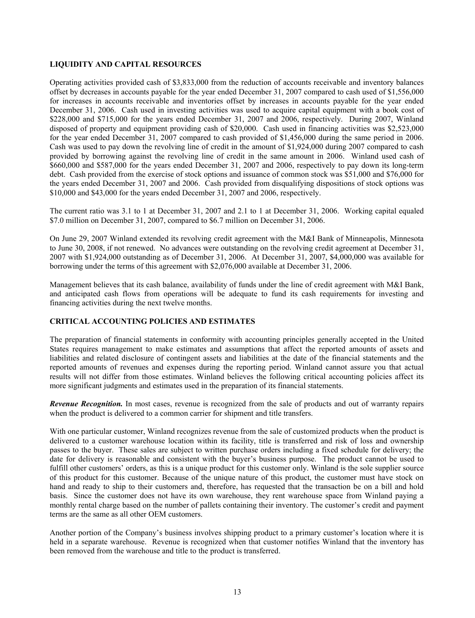#### **LIQUIDITY AND CAPITAL RESOURCES**

Operating activities provided cash of \$3,833,000 from the reduction of accounts receivable and inventory balances offset by decreases in accounts payable for the year ended December 31, 2007 compared to cash used of \$1,556,000 for increases in accounts receivable and inventories offset by increases in accounts payable for the year ended December 31, 2006. Cash used in investing activities was used to acquire capital equipment with a book cost of \$228,000 and \$715,000 for the years ended December 31, 2007 and 2006, respectively. During 2007, Winland disposed of property and equipment providing cash of \$20,000. Cash used in financing activities was \$2,523,000 for the year ended December 31, 2007 compared to cash provided of \$1,456,000 during the same period in 2006. Cash was used to pay down the revolving line of credit in the amount of \$1,924,000 during 2007 compared to cash provided by borrowing against the revolving line of credit in the same amount in 2006. Winland used cash of \$660,000 and \$587,000 for the years ended December 31, 2007 and 2006, respectively to pay down its long-term debt. Cash provided from the exercise of stock options and issuance of common stock was \$51,000 and \$76,000 for the years ended December 31, 2007 and 2006. Cash provided from disqualifying dispositions of stock options was \$10,000 and \$43,000 for the years ended December 31, 2007 and 2006, respectively.

The current ratio was 3.1 to 1 at December 31, 2007 and 2.1 to 1 at December 31, 2006. Working capital equaled \$7.0 million on December 31, 2007, compared to \$6.7 million on December 31, 2006.

On June 29, 2007 Winland extended its revolving credit agreement with the M&I Bank of Minneapolis, Minnesota to June 30, 2008, if not renewed. No advances were outstanding on the revolving credit agreement at December 31, 2007 with \$1,924,000 outstanding as of December 31, 2006. At December 31, 2007, \$4,000,000 was available for borrowing under the terms of this agreement with \$2,076,000 available at December 31, 2006.

Management believes that its cash balance, availability of funds under the line of credit agreement with M&I Bank, and anticipated cash flows from operations will be adequate to fund its cash requirements for investing and financing activities during the next twelve months.

#### **CRITICAL ACCOUNTING POLICIES AND ESTIMATES**

The preparation of financial statements in conformity with accounting principles generally accepted in the United States requires management to make estimates and assumptions that affect the reported amounts of assets and liabilities and related disclosure of contingent assets and liabilities at the date of the financial statements and the reported amounts of revenues and expenses during the reporting period. Winland cannot assure you that actual results will not differ from those estimates. Winland believes the following critical accounting policies affect its more significant judgments and estimates used in the preparation of its financial statements.

*Revenue Recognition*. In most cases, revenue is recognized from the sale of products and out of warranty repairs when the product is delivered to a common carrier for shipment and title transfers.

With one particular customer, Winland recognizes revenue from the sale of customized products when the product is delivered to a customer warehouse location within its facility, title is transferred and risk of loss and ownership passes to the buyer. These sales are subject to written purchase orders including a fixed schedule for delivery; the date for delivery is reasonable and consistent with the buyer's business purpose. The product cannot be used to fulfill other customers' orders, as this is a unique product for this customer only. Winland is the sole supplier source of this product for this customer. Because of the unique nature of this product, the customer must have stock on hand and ready to ship to their customers and, therefore, has requested that the transaction be on a bill and hold basis. Since the customer does not have its own warehouse, they rent warehouse space from Winland paying a monthly rental charge based on the number of pallets containing their inventory. The customer's credit and payment terms are the same as all other OEM customers.

Another portion of the Company's business involves shipping product to a primary customer's location where it is held in a separate warehouse. Revenue is recognized when that customer notifies Winland that the inventory has been removed from the warehouse and title to the product is transferred.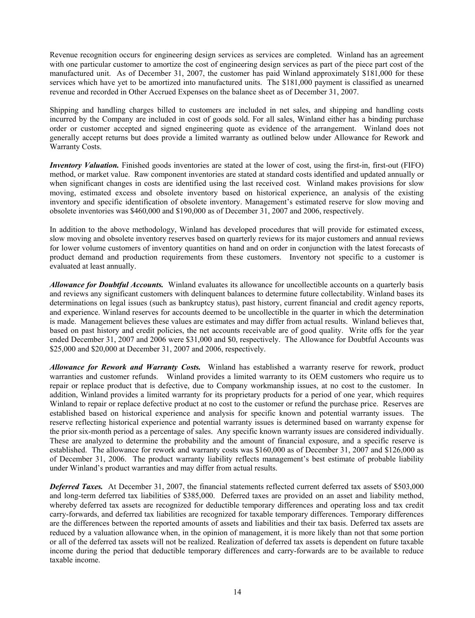Revenue recognition occurs for engineering design services as services are completed. Winland has an agreement with one particular customer to amortize the cost of engineering design services as part of the piece part cost of the manufactured unit. As of December 31, 2007, the customer has paid Winland approximately \$181,000 for these services which have yet to be amortized into manufactured units. The \$181,000 payment is classified as unearned revenue and recorded in Other Accrued Expenses on the balance sheet as of December 31, 2007.

Shipping and handling charges billed to customers are included in net sales, and shipping and handling costs incurred by the Company are included in cost of goods sold. For all sales, Winland either has a binding purchase order or customer accepted and signed engineering quote as evidence of the arrangement. Winland does not generally accept returns but does provide a limited warranty as outlined below under Allowance for Rework and Warranty Costs.

*Inventory Valuation.* Finished goods inventories are stated at the lower of cost, using the first-in, first-out (FIFO) method, or market value. Raw component inventories are stated at standard costs identified and updated annually or when significant changes in costs are identified using the last received cost. Winland makes provisions for slow moving, estimated excess and obsolete inventory based on historical experience, an analysis of the existing inventory and specific identification of obsolete inventory. Management's estimated reserve for slow moving and obsolete inventories was \$460,000 and \$190,000 as of December 31, 2007 and 2006, respectively.

In addition to the above methodology, Winland has developed procedures that will provide for estimated excess, slow moving and obsolete inventory reserves based on quarterly reviews for its major customers and annual reviews for lower volume customers of inventory quantities on hand and on order in conjunction with the latest forecasts of product demand and production requirements from these customers. Inventory not specific to a customer is evaluated at least annually.

*Allowance for Doubtful Accounts.* Winland evaluates its allowance for uncollectible accounts on a quarterly basis and reviews any significant customers with delinquent balances to determine future collectability. Winland bases its determinations on legal issues (such as bankruptcy status), past history, current financial and credit agency reports, and experience. Winland reserves for accounts deemed to be uncollectible in the quarter in which the determination is made. Management believes these values are estimates and may differ from actual results. Winland believes that, based on past history and credit policies, the net accounts receivable are of good quality. Write offs for the year ended December 31, 2007 and 2006 were \$31,000 and \$0, respectively. The Allowance for Doubtful Accounts was \$25,000 and \$20,000 at December 31, 2007 and 2006, respectively.

*Allowance for Rework and Warranty Costs.* Winland has established a warranty reserve for rework, product warranties and customer refunds. Winland provides a limited warranty to its OEM customers who require us to repair or replace product that is defective, due to Company workmanship issues, at no cost to the customer. In addition, Winland provides a limited warranty for its proprietary products for a period of one year, which requires Winland to repair or replace defective product at no cost to the customer or refund the purchase price. Reserves are established based on historical experience and analysis for specific known and potential warranty issues. The reserve reflecting historical experience and potential warranty issues is determined based on warranty expense for the prior six-month period as a percentage of sales. Any specific known warranty issues are considered individually. These are analyzed to determine the probability and the amount of financial exposure, and a specific reserve is established. The allowance for rework and warranty costs was \$160,000 as of December 31, 2007 and \$126,000 as of December 31, 2006. The product warranty liability reflects management's best estimate of probable liability under Winland's product warranties and may differ from actual results.

*Deferred Taxes.* At December 31, 2007, the financial statements reflected current deferred tax assets of \$503,000 and long-term deferred tax liabilities of \$385,000. Deferred taxes are provided on an asset and liability method, whereby deferred tax assets are recognized for deductible temporary differences and operating loss and tax credit carry-forwards, and deferred tax liabilities are recognized for taxable temporary differences. Temporary differences are the differences between the reported amounts of assets and liabilities and their tax basis. Deferred tax assets are reduced by a valuation allowance when, in the opinion of management, it is more likely than not that some portion or all of the deferred tax assets will not be realized. Realization of deferred tax assets is dependent on future taxable income during the period that deductible temporary differences and carry-forwards are to be available to reduce taxable income.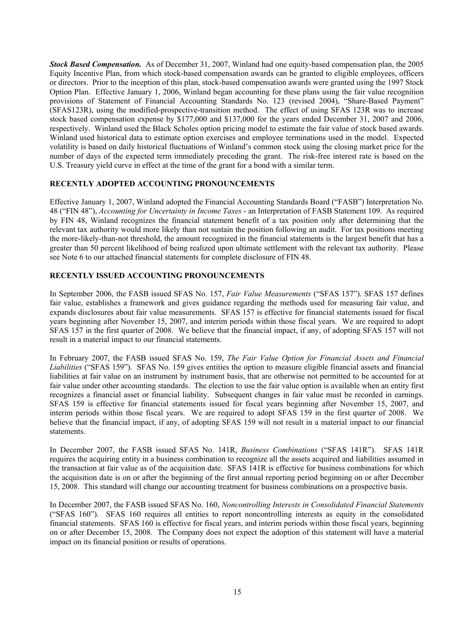*Stock Based Compensation.* As of December 31, 2007, Winland had one equity-based compensation plan, the 2005 Equity Incentive Plan, from which stock-based compensation awards can be granted to eligible employees, officers or directors. Prior to the inception of this plan, stock-based compensation awards were granted using the 1997 Stock Option Plan. Effective January 1, 2006, Winland began accounting for these plans using the fair value recognition provisions of Statement of Financial Accounting Standards No. 123 (revised 2004), "Share-Based Payment" (SFAS123R), using the modified-prospective-transition method. The effect of using SFAS 123R was to increase stock based compensation expense by \$177,000 and \$137,000 for the years ended December 31, 2007 and 2006, respectively. Winland used the Black Scholes option pricing model to estimate the fair value of stock based awards. Winland used historical data to estimate option exercises and employee terminations used in the model. Expected volatility is based on daily historical fluctuations of Winland's common stock using the closing market price for the number of days of the expected term immediately preceding the grant. The risk-free interest rate is based on the U.S. Treasury yield curve in effect at the time of the grant for a bond with a similar term.

#### **RECENTLY ADOPTED ACCOUNTING PRONOUNCEMENTS**

Effective January 1, 2007, Winland adopted the Financial Accounting Standards Board ("FASB") Interpretation No. 48 ("FIN 48"), *Accounting for Uncertainty in Income Taxes* - an Interpretation of FASB Statement 109. As required by FIN 48, Winland recognizes the financial statement benefit of a tax position only after determining that the relevant tax authority would more likely than not sustain the position following an audit. For tax positions meeting the more-likely-than-not threshold, the amount recognized in the financial statements is the largest benefit that has a greater than 50 percent likelihood of being realized upon ultimate settlement with the relevant tax authority. Please see Note 6 to our attached financial statements for complete disclosure of FIN 48.

#### **RECENTLY ISSUED ACCOUNTING PRONOUNCEMENTS**

In September 2006, the FASB issued SFAS No. 157, *Fair Value Measurements* ("SFAS 157"). SFAS 157 defines fair value, establishes a framework and gives guidance regarding the methods used for measuring fair value, and expands disclosures about fair value measurements. SFAS 157 is effective for financial statements issued for fiscal years beginning after November 15, 2007, and interim periods within those fiscal years. We are required to adopt SFAS 157 in the first quarter of 2008. We believe that the financial impact, if any, of adopting SFAS 157 will not result in a material impact to our financial statements.

In February 2007, the FASB issued SFAS No. 159, *The Fair Value Option for Financial Assets and Financial Liabilities* ("SFAS 159"). SFAS No. 159 gives entities the option to measure eligible financial assets and financial liabilities at fair value on an instrument by instrument basis, that are otherwise not permitted to be accounted for at fair value under other accounting standards. The election to use the fair value option is available when an entity first recognizes a financial asset or financial liability. Subsequent changes in fair value must be recorded in earnings. SFAS 159 is effective for financial statements issued for fiscal years beginning after November 15, 2007, and interim periods within those fiscal years. We are required to adopt SFAS 159 in the first quarter of 2008. We believe that the financial impact, if any, of adopting SFAS 159 will not result in a material impact to our financial statements.

In December 2007, the FASB issued SFAS No. 141R, *Business Combinations* ("SFAS 141R"). SFAS 141R requires the acquiring entity in a business combination to recognize all the assets acquired and liabilities assumed in the transaction at fair value as of the acquisition date. SFAS 141R is effective for business combinations for which the acquisition date is on or after the beginning of the first annual reporting period beginning on or after December 15, 2008. This standard will change our accounting treatment for business combinations on a prospective basis.

In December 2007, the FASB issued SFAS No. 160, *Noncontrolling Interests in Consolidated Financial Statements* ("SFAS 160"). SFAS 160 requires all entities to report noncontrolling interests as equity in the consolidated financial statements. SFAS 160 is effective for fiscal years, and interim periods within those fiscal years, beginning on or after December 15, 2008. The Company does not expect the adoption of this statement will have a material impact on its financial position or results of operations.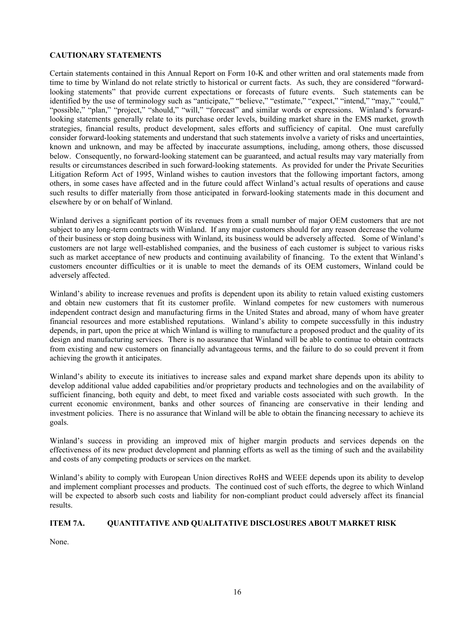## **CAUTIONARY STATEMENTS**

Certain statements contained in this Annual Report on Form 10-K and other written and oral statements made from time to time by Winland do not relate strictly to historical or current facts. As such, they are considered "forwardlooking statements" that provide current expectations or forecasts of future events. Such statements can be identified by the use of terminology such as "anticipate," "believe," "estimate," "expect," "intend," "may," "could," "possible," "plan," "project," "should," "will," "forecast" and similar words or expressions. Winland's forwardlooking statements generally relate to its purchase order levels, building market share in the EMS market, growth strategies, financial results, product development, sales efforts and sufficiency of capital. One must carefully consider forward-looking statements and understand that such statements involve a variety of risks and uncertainties, known and unknown, and may be affected by inaccurate assumptions, including, among others, those discussed below. Consequently, no forward-looking statement can be guaranteed, and actual results may vary materially from results or circumstances described in such forward-looking statements. As provided for under the Private Securities Litigation Reform Act of 1995, Winland wishes to caution investors that the following important factors, among others, in some cases have affected and in the future could affect Winland's actual results of operations and cause such results to differ materially from those anticipated in forward-looking statements made in this document and elsewhere by or on behalf of Winland.

Winland derives a significant portion of its revenues from a small number of major OEM customers that are not subject to any long-term contracts with Winland. If any major customers should for any reason decrease the volume of their business or stop doing business with Winland, its business would be adversely affected. Some of Winland's customers are not large well-established companies, and the business of each customer is subject to various risks such as market acceptance of new products and continuing availability of financing. To the extent that Winland's customers encounter difficulties or it is unable to meet the demands of its OEM customers, Winland could be adversely affected.

Winland's ability to increase revenues and profits is dependent upon its ability to retain valued existing customers and obtain new customers that fit its customer profile. Winland competes for new customers with numerous independent contract design and manufacturing firms in the United States and abroad, many of whom have greater financial resources and more established reputations. Winland's ability to compete successfully in this industry depends, in part, upon the price at which Winland is willing to manufacture a proposed product and the quality of its design and manufacturing services. There is no assurance that Winland will be able to continue to obtain contracts from existing and new customers on financially advantageous terms, and the failure to do so could prevent it from achieving the growth it anticipates.

Winland's ability to execute its initiatives to increase sales and expand market share depends upon its ability to develop additional value added capabilities and/or proprietary products and technologies and on the availability of sufficient financing, both equity and debt, to meet fixed and variable costs associated with such growth. In the current economic environment, banks and other sources of financing are conservative in their lending and investment policies. There is no assurance that Winland will be able to obtain the financing necessary to achieve its goals.

Winland's success in providing an improved mix of higher margin products and services depends on the effectiveness of its new product development and planning efforts as well as the timing of such and the availability and costs of any competing products or services on the market.

Winland's ability to comply with European Union directives RoHS and WEEE depends upon its ability to develop and implement compliant processes and products. The continued cost of such efforts, the degree to which Winland will be expected to absorb such costs and liability for non-compliant product could adversely affect its financial results.

# **ITEM 7A. QUANTITATIVE AND QUALITATIVE DISCLOSURES ABOUT MARKET RISK**

None.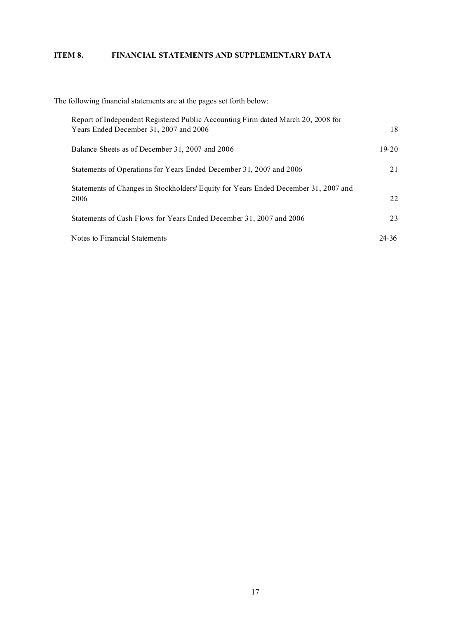# **ITEM 8. FINANCIAL STATEMENTS AND SUPPLEMENTARY DATA**

The following financial statements are at the pages set forth below:

| Report of Independent Registered Public Accounting Firm dated March 20, 2008 for<br>Years Ended December 31, 2007 and 2006 | 18      |
|----------------------------------------------------------------------------------------------------------------------------|---------|
| Balance Sheets as of December 31, 2007 and 2006                                                                            | $19-20$ |
| Statements of Operations for Years Ended December 31, 2007 and 2006                                                        | 21      |
| Statements of Changes in Stockholders' Equity for Years Ended December 31, 2007 and<br>2006                                | 22      |
| Statements of Cash Flows for Years Ended December 31, 2007 and 2006                                                        | 23      |
| Notes to Financial Statements                                                                                              | 24-36   |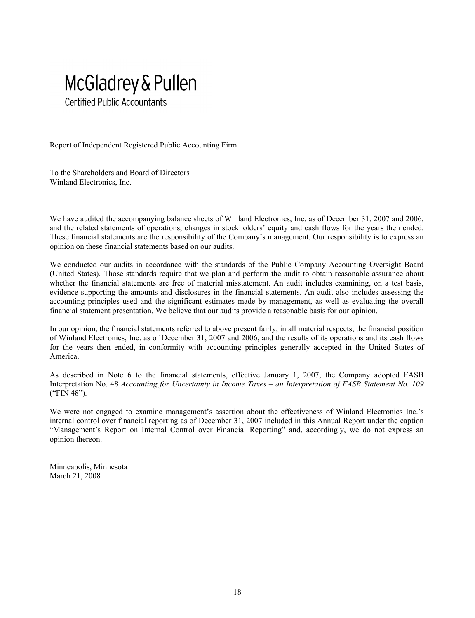# McGladrey & Pullen **Certified Public Accountants**

Report of Independent Registered Public Accounting Firm

To the Shareholders and Board of Directors Winland Electronics, Inc.

We have audited the accompanying balance sheets of Winland Electronics, Inc. as of December 31, 2007 and 2006, and the related statements of operations, changes in stockholders' equity and cash flows for the years then ended. These financial statements are the responsibility of the Company's management. Our responsibility is to express an opinion on these financial statements based on our audits.

We conducted our audits in accordance with the standards of the Public Company Accounting Oversight Board (United States). Those standards require that we plan and perform the audit to obtain reasonable assurance about whether the financial statements are free of material misstatement. An audit includes examining, on a test basis, evidence supporting the amounts and disclosures in the financial statements. An audit also includes assessing the accounting principles used and the significant estimates made by management, as well as evaluating the overall financial statement presentation. We believe that our audits provide a reasonable basis for our opinion.

In our opinion, the financial statements referred to above present fairly, in all material respects, the financial position of Winland Electronics, Inc. as of December 31, 2007 and 2006, and the results of its operations and its cash flows for the years then ended, in conformity with accounting principles generally accepted in the United States of America.

As described in Note 6 to the financial statements, effective January 1, 2007, the Company adopted FASB Interpretation No. 48 *Accounting for Uncertainty in Income Taxes – an Interpretation of FASB Statement No. 109*  ("FIN 48").

We were not engaged to examine management's assertion about the effectiveness of Winland Electronics Inc.'s internal control over financial reporting as of December 31, 2007 included in this Annual Report under the caption "Management's Report on Internal Control over Financial Reporting" and, accordingly, we do not express an opinion thereon.

Minneapolis, Minnesota March 21, 2008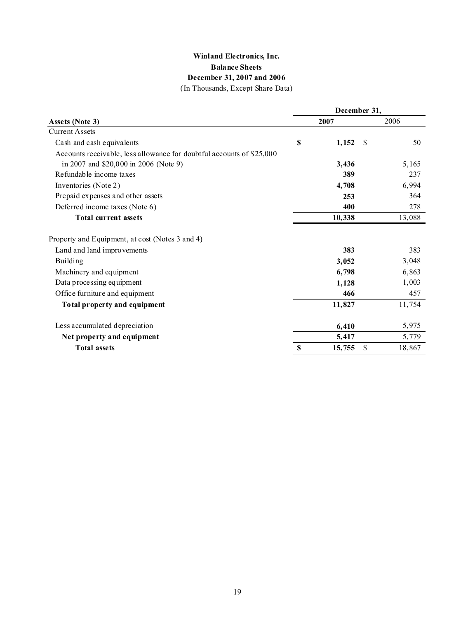# **Winland Electronics, Inc. Balance Sheets December 31, 2007 and 2006**

(In Thousands, Except Share Data)

|                                                                       | December 31, |             |             |  |  |  |
|-----------------------------------------------------------------------|--------------|-------------|-------------|--|--|--|
| Assets (Note 3)                                                       |              | 2007        | 2006        |  |  |  |
| <b>Current Assets</b>                                                 |              |             |             |  |  |  |
| Cash and cash equivalents                                             | \$           | 1,152<br>-S | 50          |  |  |  |
| Accounts receivable, less allowance for doubtful accounts of \$25,000 |              |             |             |  |  |  |
| in 2007 and \$20,000 in 2006 (Note 9)                                 |              | 3,436       | 5,165       |  |  |  |
| Refundable income taxes                                               |              | 389         | 237         |  |  |  |
| Inventories (Note 2)                                                  |              | 4,708       | 6,994       |  |  |  |
| Prepaid expenses and other assets                                     |              | 253         | 364         |  |  |  |
| Deferred income taxes (Note 6)                                        |              | 400         | 278         |  |  |  |
| <b>Total current assets</b>                                           |              | 10,338      | 13,088      |  |  |  |
| Property and Equipment, at cost (Notes 3 and 4)                       |              |             |             |  |  |  |
| Land and land improvements                                            |              | 383         | 383         |  |  |  |
| Building                                                              |              | 3,052       | 3,048       |  |  |  |
| Machinery and equipment                                               |              | 6,798       | 6,863       |  |  |  |
| Data processing equipment                                             |              | 1,128       | 1,003       |  |  |  |
| Office furniture and equipment                                        |              | 466         | 457         |  |  |  |
| Total property and equipment                                          |              | 11,827      | 11,754      |  |  |  |
| Less accumulated depreciation                                         |              | 6,410       | 5,975       |  |  |  |
| Net property and equipment                                            |              | 5,417       | 5,779       |  |  |  |
| <b>Total assets</b>                                                   |              | 15,755      | 18,867<br>S |  |  |  |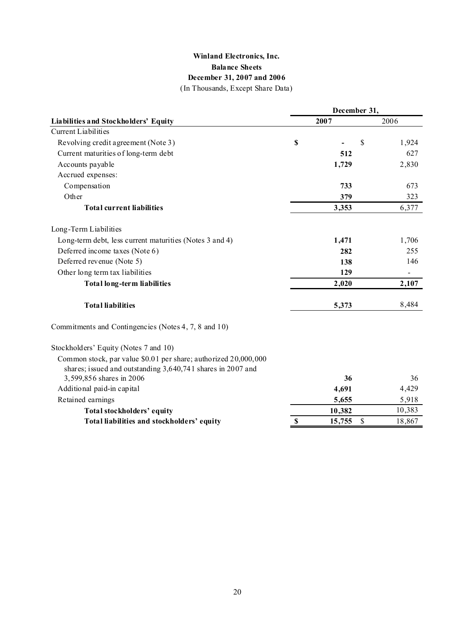# **Winland Electronics, Inc. Balance Sheets December 31, 2007 and 2006**

(In Thousands, Except Share Data)

|                                                                 | December 31, |        |              |  |  |  |
|-----------------------------------------------------------------|--------------|--------|--------------|--|--|--|
| Liabilities and Stockholders' Equity                            |              | 2007   | 2006         |  |  |  |
| <b>Current Liabilities</b>                                      |              |        |              |  |  |  |
| Revolving credit agreement (Note 3)                             | \$           |        | \$<br>1,924  |  |  |  |
| Current maturities of long-term debt                            |              | 512    | 627          |  |  |  |
| Accounts payable                                                |              | 1,729  | 2,830        |  |  |  |
| Accrued expenses:                                               |              |        |              |  |  |  |
| Compensation                                                    |              | 733    | 673          |  |  |  |
| Other                                                           |              | 379    | 323          |  |  |  |
| <b>Total current liabilities</b>                                |              | 3,353  | 6,377        |  |  |  |
| Long-Term Liabilities                                           |              |        |              |  |  |  |
| Long-term debt, less current maturities (Notes 3 and 4)         |              | 1,471  | 1,706        |  |  |  |
| Deferred income taxes (Note 6)                                  |              | 282    | 255          |  |  |  |
| Deferred revenue (Note 5)                                       |              | 138    | 146          |  |  |  |
| Other long term tax liabilities                                 |              | 129    |              |  |  |  |
| <b>Total long-term liabilities</b>                              |              | 2,020  | 2,107        |  |  |  |
| <b>Total liabilities</b>                                        |              | 5,373  | 8,484        |  |  |  |
| Commitments and Contingencies (Notes 4, 7, 8 and 10)            |              |        |              |  |  |  |
| Stockholders' Equity (Notes 7 and 10)                           |              |        |              |  |  |  |
| Common stock, par value \$0.01 per share; authorized 20,000,000 |              |        |              |  |  |  |
| shares; issued and outstanding 3,640,741 shares in 2007 and     |              |        |              |  |  |  |
| 3,599,856 shares in 2006                                        |              | 36     | 36           |  |  |  |
| Additional paid-in capital                                      |              | 4,691  | 4,429        |  |  |  |
| Retained earnings                                               |              | 5,655  | 5,918        |  |  |  |
| Total stockholders' equity                                      |              | 10,382 | 10,383       |  |  |  |
| Total liabilities and stockholders' equity                      | \$           | 15,755 | \$<br>18,867 |  |  |  |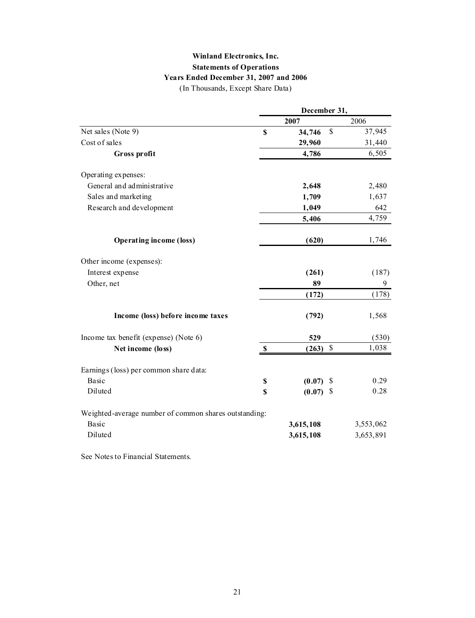# **Winland Electronics, Inc. Statements of Operations Years Ended December 31, 2007 and 2006**

(In Thousands, Except Share Data)

|                                                       | December 31, |             |                       |  |  |
|-------------------------------------------------------|--------------|-------------|-----------------------|--|--|
|                                                       |              | 2007        | 2006                  |  |  |
| Net sales (Note 9)                                    | \$           | 34,746      | $\mathbb S$<br>37,945 |  |  |
| Cost of sales                                         |              | 29,960      | 31,440                |  |  |
| Gross profit                                          |              | 4,786       | 6,505                 |  |  |
| Operating expenses:                                   |              |             |                       |  |  |
| General and administrative                            |              | 2,648       | 2,480                 |  |  |
| Sales and marketing                                   |              | 1,709       | 1,637                 |  |  |
| Research and development                              |              | 1,049       | 642                   |  |  |
|                                                       |              | 5,406       | 4,759                 |  |  |
| <b>Operating income (loss)</b>                        |              | (620)       | 1,746                 |  |  |
| Other income (expenses):                              |              |             |                       |  |  |
| Interest expense                                      |              | (261)       | (187)                 |  |  |
| Other, net                                            |              | 89          | 9                     |  |  |
|                                                       |              | (172)       | (178)                 |  |  |
| Income (loss) before income taxes                     |              | (792)       | 1,568                 |  |  |
| Income tax benefit (expense) (Note 6)                 |              | 529         | (530)                 |  |  |
| Net income (loss)                                     | -S           | (263)       | \$<br>1,038           |  |  |
| Earnings (loss) per common share data:                |              |             |                       |  |  |
| Basic                                                 | \$           | $(0.07)$ \$ | 0.29                  |  |  |
| Diluted                                               | \$           | $(0.07)$ \$ | 0.28                  |  |  |
| Weighted-average number of common shares outstanding: |              |             |                       |  |  |
| Basic                                                 |              | 3,615,108   | 3,553,062             |  |  |
| Diluted                                               |              | 3,615,108   | 3,653,891             |  |  |
|                                                       |              |             |                       |  |  |

See Notes to Financial Statements.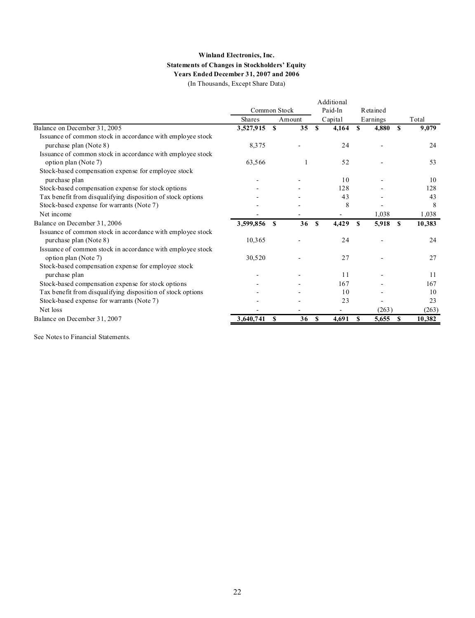# **Winland Electronics, Inc. Statements of Changes in Stockholders' Equity Years Ended December 31, 2007 and 2006**

(In Thousands, Except Share Data)

|                                                             |              |   |        |              | Additional |              |          |    |        |
|-------------------------------------------------------------|--------------|---|--------|--------------|------------|--------------|----------|----|--------|
|                                                             | Common Stock |   |        |              | Paid-In    |              | Retained |    |        |
|                                                             | Shares       |   | Amount |              | Capital    |              | Earnings |    | Total  |
| Balance on December 31, 2005                                | 3,527,915    | S | 35     | $\mathbf{s}$ | 4,164      | $\mathbf{s}$ | 4,880    | S  | 9,079  |
| Issuance of common stock in accordance with employee stock  |              |   |        |              |            |              |          |    |        |
| purchase plan (Note 8)                                      | 8,375        |   |        |              | 24         |              |          |    | 24     |
| Issuance of common stock in accordance with employee stock  |              |   |        |              |            |              |          |    |        |
| option plan (Note 7)                                        | 63,566       |   |        |              | 52         |              |          |    | 53     |
| Stock-based compensation expense for employee stock         |              |   |        |              |            |              |          |    |        |
| purchase plan                                               |              |   |        |              | 10         |              |          |    | 10     |
| Stock-based compensation expense for stock options          |              |   |        |              | 128        |              |          |    | 128    |
| Tax benefit from disqualifying disposition of stock options |              |   |        |              | 43         |              |          |    | 43     |
| Stock-based expense for warrants (Note 7)                   |              |   |        |              | 8          |              |          |    | 8      |
| Net income                                                  |              |   |        |              |            |              | 1,038    |    | 1,038  |
| Balance on December 31, 2006                                | 3,599,856    | S | 36     | <b>S</b>     | 4,429      | S            | 5,918    | \$ | 10,383 |
| Issuance of common stock in accordance with employee stock  |              |   |        |              |            |              |          |    |        |
| purchase plan (Note 8)                                      | 10,365       |   |        |              | 24         |              |          |    | 24     |
| Issuance of common stock in accordance with employee stock  |              |   |        |              |            |              |          |    |        |
| option plan (Note 7)                                        | 30,520       |   |        |              | 27         |              |          |    | 27     |
| Stock-based compensation expense for employee stock         |              |   |        |              |            |              |          |    |        |
| purchase plan                                               |              |   |        |              | 11         |              |          |    | 11     |
| Stock-based compensation expense for stock options          |              |   |        |              | 167        |              |          |    | 167    |
| Tax benefit from disqualifying disposition of stock options |              |   |        |              | 10         |              |          |    | 10     |
| Stock-based expense for warrants (Note 7)                   |              |   |        |              | 23         |              |          |    | 23     |
| Net loss                                                    |              |   |        |              |            |              | (263)    |    | (263)  |
| Balance on December 31, 2007                                | 3,640,741    | S | 36     | S            | 4,691      | S            | 5,655    | S  | 10,382 |

See Notes to Financial Statements.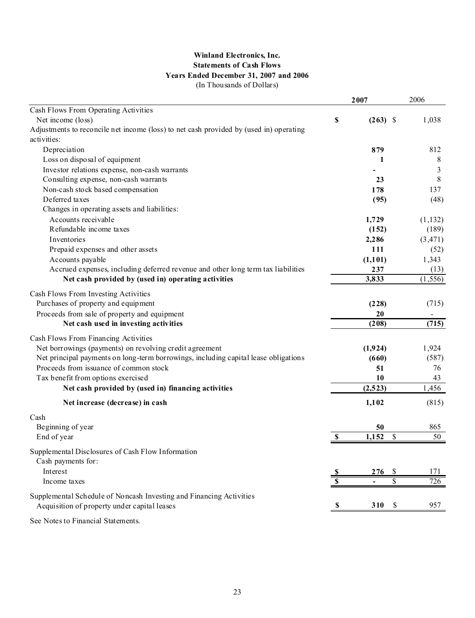# **Winland Electronics, Inc. Statements of Cash Flows Years Ended December 31, 2007 and 2006** (In Thousands of Dollars)

|                                                                                        |    | 2007                           | 2006           |  |
|----------------------------------------------------------------------------------------|----|--------------------------------|----------------|--|
| Cash Flows From Operating Activities                                                   |    |                                |                |  |
| Net income (loss)                                                                      | \$ | $(263)$ \$                     | 1,038          |  |
| Adjustments to reconcile net income (loss) to net cash provided by (used in) operating |    |                                |                |  |
| activities:                                                                            |    |                                |                |  |
| Depreciation                                                                           |    | 879                            | 812            |  |
| Loss on disposal of equipment                                                          |    | 1                              | 8              |  |
| Investor relations expense, non-cash warrants                                          |    |                                | $\mathfrak{Z}$ |  |
| Consulting expense, non-cash warrants                                                  |    | 23                             | 8              |  |
| Non-cash stock based compensation                                                      |    | 178                            | 137            |  |
| Deferred taxes                                                                         |    | (95)                           | (48)           |  |
| Changes in operating assets and liabilities:                                           |    |                                |                |  |
| Accounts receivable                                                                    |    | 1,729                          | (1, 132)       |  |
| Refundable income taxes                                                                |    | (152)                          | (189)          |  |
| Inventories                                                                            |    | 2,286                          | (3, 471)       |  |
| Prepaid expenses and other assets                                                      |    | 111                            | (52)           |  |
| Accounts payable                                                                       |    | (1, 101)                       | 1,343          |  |
| Accrued expenses, including deferred revenue and other long term tax liabilities       |    | 237                            | (13)           |  |
| Net cash provided by (used in) operating activities                                    |    | 3,833                          | (1, 556)       |  |
|                                                                                        |    |                                |                |  |
| Cash Flows From Investing Activities                                                   |    |                                |                |  |
| Purchases of property and equipment                                                    |    | (228)                          | (715)          |  |
| Proceeds from sale of property and equipment                                           |    | 20                             |                |  |
| Net cash used in investing activities                                                  |    | (208)                          | (715)          |  |
| Cash Flows From Financing Activities                                                   |    |                                |                |  |
| Net borrowings (payments) on revolving credit agreement                                |    | (1,924)                        | 1,924          |  |
| Net principal payments on long-term borrowings, including capital lease obligations    |    | (660)                          | (587)          |  |
| Proceeds from issuance of common stock                                                 |    | 51                             | 76             |  |
| Tax benefit from options exercised                                                     |    | 10                             | 43             |  |
| Net cash provided by (used in) financing activities                                    |    | (2,523)                        | 1,456          |  |
| Net increase (decrease) in cash                                                        |    | 1,102                          | (815)          |  |
| Cash                                                                                   |    |                                |                |  |
| Beginning of year                                                                      |    | 50                             | 865            |  |
| End of year                                                                            | S  | 1,152<br>\$                    | 50             |  |
|                                                                                        |    |                                |                |  |
| Supplemental Disclosures of Cash Flow Information                                      |    |                                |                |  |
| Cash payments for:                                                                     |    |                                |                |  |
| Interest                                                                               |    | 276<br>-S                      | 171            |  |
| Income taxes                                                                           | S  | \$<br>$\overline{\phantom{a}}$ | 726            |  |
| Supplemental Schedule of Noncash Investing and Financing Activities                    |    |                                |                |  |
| Acquisition of property under capital leases                                           | S  | 310<br>\$                      | 957            |  |
|                                                                                        |    |                                |                |  |

See Notes to Financial Statements.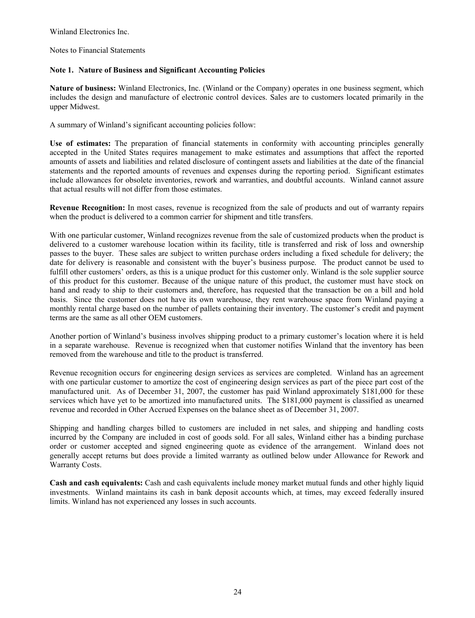Notes to Financial Statements

#### **Note 1. Nature of Business and Significant Accounting Policies**

**Nature of business:** Winland Electronics, Inc. (Winland or the Company) operates in one business segment, which includes the design and manufacture of electronic control devices. Sales are to customers located primarily in the upper Midwest.

A summary of Winland's significant accounting policies follow:

**Use of estimates:** The preparation of financial statements in conformity with accounting principles generally accepted in the United States requires management to make estimates and assumptions that affect the reported amounts of assets and liabilities and related disclosure of contingent assets and liabilities at the date of the financial statements and the reported amounts of revenues and expenses during the reporting period. Significant estimates include allowances for obsolete inventories, rework and warranties, and doubtful accounts. Winland cannot assure that actual results will not differ from those estimates.

**Revenue Recognition:** In most cases, revenue is recognized from the sale of products and out of warranty repairs when the product is delivered to a common carrier for shipment and title transfers.

With one particular customer, Winland recognizes revenue from the sale of customized products when the product is delivered to a customer warehouse location within its facility, title is transferred and risk of loss and ownership passes to the buyer. These sales are subject to written purchase orders including a fixed schedule for delivery; the date for delivery is reasonable and consistent with the buyer's business purpose. The product cannot be used to fulfill other customers' orders, as this is a unique product for this customer only. Winland is the sole supplier source of this product for this customer. Because of the unique nature of this product, the customer must have stock on hand and ready to ship to their customers and, therefore, has requested that the transaction be on a bill and hold basis. Since the customer does not have its own warehouse, they rent warehouse space from Winland paying a monthly rental charge based on the number of pallets containing their inventory. The customer's credit and payment terms are the same as all other OEM customers.

Another portion of Winland's business involves shipping product to a primary customer's location where it is held in a separate warehouse. Revenue is recognized when that customer notifies Winland that the inventory has been removed from the warehouse and title to the product is transferred.

Revenue recognition occurs for engineering design services as services are completed. Winland has an agreement with one particular customer to amortize the cost of engineering design services as part of the piece part cost of the manufactured unit. As of December 31, 2007, the customer has paid Winland approximately \$181,000 for these services which have yet to be amortized into manufactured units. The \$181,000 payment is classified as unearned revenue and recorded in Other Accrued Expenses on the balance sheet as of December 31, 2007.

Shipping and handling charges billed to customers are included in net sales, and shipping and handling costs incurred by the Company are included in cost of goods sold. For all sales, Winland either has a binding purchase order or customer accepted and signed engineering quote as evidence of the arrangement. Winland does not generally accept returns but does provide a limited warranty as outlined below under Allowance for Rework and Warranty Costs.

**Cash and cash equivalents:** Cash and cash equivalents include money market mutual funds and other highly liquid investments. Winland maintains its cash in bank deposit accounts which, at times, may exceed federally insured limits. Winland has not experienced any losses in such accounts.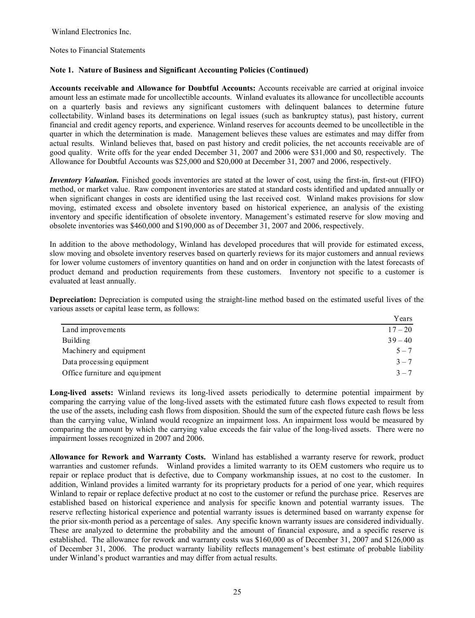Notes to Financial Statements

#### **Note 1. Nature of Business and Significant Accounting Policies (Continued)**

**Accounts receivable and Allowance for Doubtful Accounts:** Accounts receivable are carried at original invoice amount less an estimate made for uncollectible accounts. Winland evaluates its allowance for uncollectible accounts on a quarterly basis and reviews any significant customers with delinquent balances to determine future collectability. Winland bases its determinations on legal issues (such as bankruptcy status), past history, current financial and credit agency reports, and experience. Winland reserves for accounts deemed to be uncollectible in the quarter in which the determination is made. Management believes these values are estimates and may differ from actual results. Winland believes that, based on past history and credit policies, the net accounts receivable are of good quality. Write offs for the year ended December 31, 2007 and 2006 were \$31,000 and \$0, respectively. The Allowance for Doubtful Accounts was \$25,000 and \$20,000 at December 31, 2007 and 2006, respectively.

*Inventory Valuation.* Finished goods inventories are stated at the lower of cost, using the first-in, first-out (FIFO) method, or market value. Raw component inventories are stated at standard costs identified and updated annually or when significant changes in costs are identified using the last received cost. Winland makes provisions for slow moving, estimated excess and obsolete inventory based on historical experience, an analysis of the existing inventory and specific identification of obsolete inventory. Management's estimated reserve for slow moving and obsolete inventories was \$460,000 and \$190,000 as of December 31, 2007 and 2006, respectively.

In addition to the above methodology, Winland has developed procedures that will provide for estimated excess, slow moving and obsolete inventory reserves based on quarterly reviews for its major customers and annual reviews for lower volume customers of inventory quantities on hand and on order in conjunction with the latest forecasts of product demand and production requirements from these customers. Inventory not specific to a customer is evaluated at least annually.

**Depreciation:** Depreciation is computed using the straight-line method based on the estimated useful lives of the various assets or capital lease term, as follows:

|                                | Years     |
|--------------------------------|-----------|
| Land improvements              | $17 - 20$ |
| Building                       | $39 - 40$ |
| Machinery and equipment        | $5 - 7$   |
| Data processing equipment      | $3 - 7$   |
| Office furniture and equipment | $3 - 7$   |

**Long-lived assets:** Winland reviews its long-lived assets periodically to determine potential impairment by comparing the carrying value of the long-lived assets with the estimated future cash flows expected to result from the use of the assets, including cash flows from disposition. Should the sum of the expected future cash flows be less than the carrying value, Winland would recognize an impairment loss. An impairment loss would be measured by comparing the amount by which the carrying value exceeds the fair value of the long-lived assets. There were no impairment losses recognized in 2007 and 2006.

**Allowance for Rework and Warranty Costs.**Winland has established a warranty reserve for rework, product warranties and customer refunds. Winland provides a limited warranty to its OEM customers who require us to repair or replace product that is defective, due to Company workmanship issues, at no cost to the customer. In addition, Winland provides a limited warranty for its proprietary products for a period of one year, which requires Winland to repair or replace defective product at no cost to the customer or refund the purchase price. Reserves are established based on historical experience and analysis for specific known and potential warranty issues. The reserve reflecting historical experience and potential warranty issues is determined based on warranty expense for the prior six-month period as a percentage of sales. Any specific known warranty issues are considered individually. These are analyzed to determine the probability and the amount of financial exposure, and a specific reserve is established. The allowance for rework and warranty costs was \$160,000 as of December 31, 2007 and \$126,000 as of December 31, 2006. The product warranty liability reflects management's best estimate of probable liability under Winland's product warranties and may differ from actual results.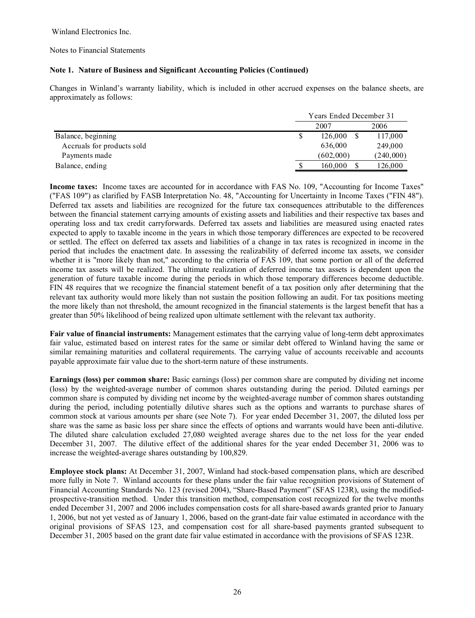Notes to Financial Statements

## **Note 1. Nature of Business and Significant Accounting Policies (Continued)**

Changes in Winland's warranty liability, which is included in other accrued expenses on the balance sheets, are approximately as follows:

|                            |  | Years Ended December 31 |      |           |  |  |
|----------------------------|--|-------------------------|------|-----------|--|--|
|                            |  |                         | 2006 |           |  |  |
| Balance, beginning         |  | 126,000                 |      | 117,000   |  |  |
| Accruals for products sold |  | 636,000                 |      | 249,000   |  |  |
| Payments made              |  | (602,000)               |      | (240,000) |  |  |
| Balance, ending            |  | 160.000                 |      | 126,000   |  |  |

**Income taxes:** Income taxes are accounted for in accordance with FAS No. 109, "Accounting for Income Taxes" ("FAS 109") as clarified by FASB Interpretation No. 48, "Accounting for Uncertainty in Income Taxes ("FIN 48"). Deferred tax assets and liabilities are recognized for the future tax consequences attributable to the differences between the financial statement carrying amounts of existing assets and liabilities and their respective tax bases and operating loss and tax credit carryforwards. Deferred tax assets and liabilities are measured using enacted rates expected to apply to taxable income in the years in which those temporary differences are expected to be recovered or settled. The effect on deferred tax assets and liabilities of a change in tax rates is recognized in income in the period that includes the enactment date. In assessing the realizability of deferred income tax assets, we consider whether it is "more likely than not," according to the criteria of FAS 109, that some portion or all of the deferred income tax assets will be realized. The ultimate realization of deferred income tax assets is dependent upon the generation of future taxable income during the periods in which those temporary differences become deductible. FIN 48 requires that we recognize the financial statement benefit of a tax position only after determining that the relevant tax authority would more likely than not sustain the position following an audit. For tax positions meeting the more likely than not threshold, the amount recognized in the financial statements is the largest benefit that has a greater than 50% likelihood of being realized upon ultimate settlement with the relevant tax authority.

**Fair value of financial instruments:** Management estimates that the carrying value of long-term debt approximates fair value, estimated based on interest rates for the same or similar debt offered to Winland having the same or similar remaining maturities and collateral requirements. The carrying value of accounts receivable and accounts payable approximate fair value due to the short-term nature of these instruments.

**Earnings (loss) per common share:** Basic earnings (loss) per common share are computed by dividing net income (loss) by the weighted-average number of common shares outstanding during the period. Diluted earnings per common share is computed by dividing net income by the weighted-average number of common shares outstanding during the period, including potentially dilutive shares such as the options and warrants to purchase shares of common stock at various amounts per share (see Note 7). For year ended December 31, 2007, the diluted loss per share was the same as basic loss per share since the effects of options and warrants would have been anti-dilutive. The diluted share calculation excluded 27,080 weighted average shares due to the net loss for the year ended December 31, 2007. The dilutive effect of the additional shares for the year ended December 31, 2006 was to increase the weighted-average shares outstanding by 100,829.

**Employee stock plans:** At December 31, 2007, Winland had stock-based compensation plans, which are described more fully in Note 7. Winland accounts for these plans under the fair value recognition provisions of Statement of Financial Accounting Standards No. 123 (revised 2004), "Share-Based Payment" (SFAS 123R), using the modifiedprospective-transition method. Under this transition method, compensation cost recognized for the twelve months ended December 31, 2007 and 2006 includes compensation costs for all share-based awards granted prior to January 1, 2006, but not yet vested as of January 1, 2006, based on the grant-date fair value estimated in accordance with the original provisions of SFAS 123, and compensation cost for all share-based payments granted subsequent to December 31, 2005 based on the grant date fair value estimated in accordance with the provisions of SFAS 123R.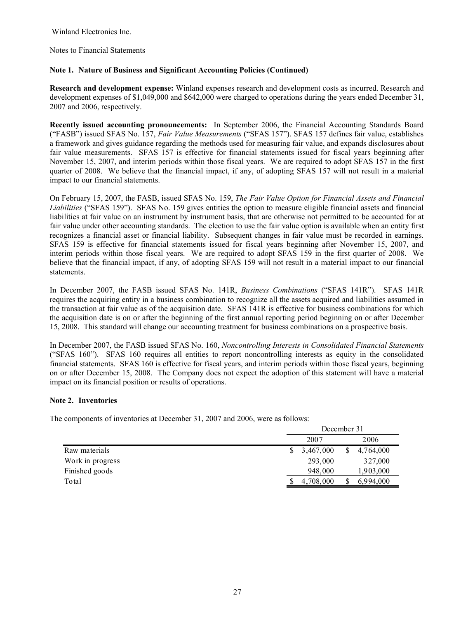Notes to Financial Statements

#### **Note 1. Nature of Business and Significant Accounting Policies (Continued)**

**Research and development expense:** Winland expenses research and development costs as incurred. Research and development expenses of \$1,049,000 and \$642,000 were charged to operations during the years ended December 31, 2007 and 2006, respectively.

**Recently issued accounting pronouncements:** In September 2006, the Financial Accounting Standards Board ("FASB") issued SFAS No. 157, *Fair Value Measurements* ("SFAS 157"). SFAS 157 defines fair value, establishes a framework and gives guidance regarding the methods used for measuring fair value, and expands disclosures about fair value measurements. SFAS 157 is effective for financial statements issued for fiscal years beginning after November 15, 2007, and interim periods within those fiscal years. We are required to adopt SFAS 157 in the first quarter of 2008. We believe that the financial impact, if any, of adopting SFAS 157 will not result in a material impact to our financial statements.

On February 15, 2007, the FASB, issued SFAS No. 159, *The Fair Value Option for Financial Assets and Financial Liabilities* ("SFAS 159"). SFAS No. 159 gives entities the option to measure eligible financial assets and financial liabilities at fair value on an instrument by instrument basis, that are otherwise not permitted to be accounted for at fair value under other accounting standards. The election to use the fair value option is available when an entity first recognizes a financial asset or financial liability. Subsequent changes in fair value must be recorded in earnings. SFAS 159 is effective for financial statements issued for fiscal years beginning after November 15, 2007, and interim periods within those fiscal years. We are required to adopt SFAS 159 in the first quarter of 2008. We believe that the financial impact, if any, of adopting SFAS 159 will not result in a material impact to our financial statements.

In December 2007, the FASB issued SFAS No. 141R, *Business Combinations* ("SFAS 141R"). SFAS 141R requires the acquiring entity in a business combination to recognize all the assets acquired and liabilities assumed in the transaction at fair value as of the acquisition date. SFAS 141R is effective for business combinations for which the acquisition date is on or after the beginning of the first annual reporting period beginning on or after December 15, 2008. This standard will change our accounting treatment for business combinations on a prospective basis.

In December 2007, the FASB issued SFAS No. 160, *Noncontrolling Interests in Consolidated Financial Statements* ("SFAS 160"). SFAS 160 requires all entities to report noncontrolling interests as equity in the consolidated financial statements. SFAS 160 is effective for fiscal years, and interim periods within those fiscal years, beginning on or after December 15, 2008. The Company does not expect the adoption of this statement will have a material impact on its financial position or results of operations.

#### **Note 2. Inventories**

The components of inventories at December 31, 2007 and 2006, were as follows:

|                  | December 31  |           |  |           |  |
|------------------|--------------|-----------|--|-----------|--|
|                  | 2007<br>2006 |           |  |           |  |
| Raw materials    | S.           | 3,467,000 |  | 4,764,000 |  |
| Work in progress |              | 293,000   |  | 327,000   |  |
| Finished goods   |              | 948,000   |  | 1,903,000 |  |
| Total            |              | 4,708,000 |  | 6.994.000 |  |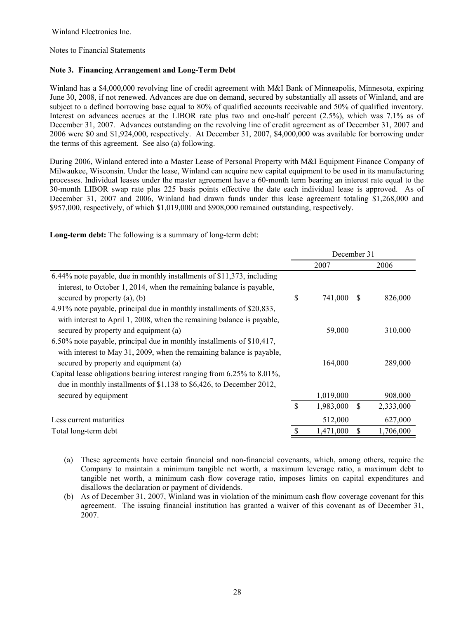Notes to Financial Statements

#### **Note 3. Financing Arrangement and Long-Term Debt**

Winland has a \$4,000,000 revolving line of credit agreement with M&I Bank of Minneapolis, Minnesota, expiring June 30, 2008, if not renewed. Advances are due on demand, secured by substantially all assets of Winland, and are subject to a defined borrowing base equal to 80% of qualified accounts receivable and 50% of qualified inventory. Interest on advances accrues at the LIBOR rate plus two and one-half percent (2.5%), which was 7.1% as of December 31, 2007. Advances outstanding on the revolving line of credit agreement as of December 31, 2007 and 2006 were \$0 and \$1,924,000, respectively. At December 31, 2007, \$4,000,000 was available for borrowing under the terms of this agreement. See also (a) following.

During 2006, Winland entered into a Master Lease of Personal Property with M&I Equipment Finance Company of Milwaukee, Wisconsin. Under the lease, Winland can acquire new capital equipment to be used in its manufacturing processes. Individual leases under the master agreement have a 60-month term bearing an interest rate equal to the 30-month LIBOR swap rate plus 225 basis points effective the date each individual lease is approved. As of December 31, 2007 and 2006, Winland had drawn funds under this lease agreement totaling \$1,268,000 and \$957,000, respectively, of which \$1,019,000 and \$908,000 remained outstanding, respectively.

**Long-term debt:** The following is a summary of long-term debt:

|                                                                         | December 31 |           |     |           |
|-------------------------------------------------------------------------|-------------|-----------|-----|-----------|
|                                                                         |             | 2007      |     | 2006      |
| 6.44% note payable, due in monthly installments of \$11,373, including  |             |           |     |           |
| interest, to October 1, 2014, when the remaining balance is payable,    |             |           |     |           |
| secured by property $(a)$ , $(b)$                                       | \$          | 741,000   | \$. | 826,000   |
| 4.91% note payable, principal due in monthly installments of \$20,833,  |             |           |     |           |
| with interest to April 1, 2008, when the remaining balance is payable,  |             |           |     |           |
| secured by property and equipment (a)                                   |             | 59,000    |     | 310,000   |
| 6.50% note payable, principal due in monthly installments of \$10,417,  |             |           |     |           |
| with interest to May 31, 2009, when the remaining balance is payable,   |             |           |     |           |
| secured by property and equipment (a)                                   |             | 164,000   |     | 289,000   |
| Capital lease obligations bearing interest ranging from 6.25% to 8.01%, |             |           |     |           |
| due in monthly installments of \$1,138 to \$6,426, to December 2012,    |             |           |     |           |
| secured by equipment                                                    |             | 1,019,000 |     | 908,000   |
|                                                                         | \$          | 1,983,000 | \$  | 2,333,000 |
| Less current maturities                                                 |             | 512,000   |     | 627,000   |
| Total long-term debt                                                    |             | 1,471,000 |     | 1,706,000 |

- (a) These agreements have certain financial and non-financial covenants, which, among others, require the Company to maintain a minimum tangible net worth, a maximum leverage ratio, a maximum debt to tangible net worth, a minimum cash flow coverage ratio, imposes limits on capital expenditures and disallows the declaration or payment of dividends.
- (b) As of December 31, 2007, Winland was in violation of the minimum cash flow coverage covenant for this agreement. The issuing financial institution has granted a waiver of this covenant as of December 31, 2007.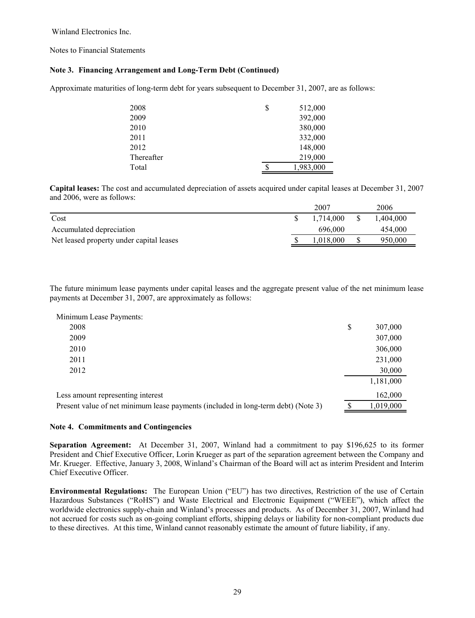Notes to Financial Statements

#### **Note 3. Financing Arrangement and Long-Term Debt (Continued)**

Approximate maturities of long-term debt for years subsequent to December 31, 2007, are as follows:

| 2008       | \$ | 512,000   |
|------------|----|-----------|
| 2009       |    | 392,000   |
| 2010       |    | 380,000   |
| 2011       |    | 332,000   |
| 2012       |    | 148,000   |
| Thereafter |    | 219,000   |
| Total      | S  | 1,983,000 |

**Capital leases:** The cost and accumulated depreciation of assets acquired under capital leases at December 31, 2007 and 2006, were as follows:

|                                          | 2007      | 2006      |
|------------------------------------------|-----------|-----------|
| Cost                                     | 1.714.000 | 1,404,000 |
| Accumulated depreciation                 | 696.000   | 454,000   |
| Net leased property under capital leases | .018.000  | 950,000   |

The future minimum lease payments under capital leases and the aggregate present value of the net minimum lease payments at December 31, 2007, are approximately as follows:

Minimum Lease Payments:

| 2009<br>2010<br>2011<br>2012<br>Less amount representing interest<br>Present value of net minimum lease payments (included in long-term debt) (Note 3) | 2008 | \$<br>307,000 |
|--------------------------------------------------------------------------------------------------------------------------------------------------------|------|---------------|
|                                                                                                                                                        |      | 307,000       |
|                                                                                                                                                        |      | 306,000       |
|                                                                                                                                                        |      | 231,000       |
|                                                                                                                                                        |      | 30,000        |
|                                                                                                                                                        |      | 1,181,000     |
|                                                                                                                                                        |      | 162,000       |
|                                                                                                                                                        |      | 1,019,000     |

#### **Note 4. Commitments and Contingencies**

**Separation Agreement:** At December 31, 2007, Winland had a commitment to pay \$196,625 to its former President and Chief Executive Officer, Lorin Krueger as part of the separation agreement between the Company and Mr. Krueger. Effective, January 3, 2008, Winland's Chairman of the Board will act as interim President and Interim Chief Executive Officer.

**Environmental Regulations:** The European Union ("EU") has two directives, Restriction of the use of Certain Hazardous Substances ("RoHS") and Waste Electrical and Electronic Equipment ("WEEE"), which affect the worldwide electronics supply-chain and Winland's processes and products. As of December 31, 2007, Winland had not accrued for costs such as on-going compliant efforts, shipping delays or liability for non-compliant products due to these directives. At this time, Winland cannot reasonably estimate the amount of future liability, if any.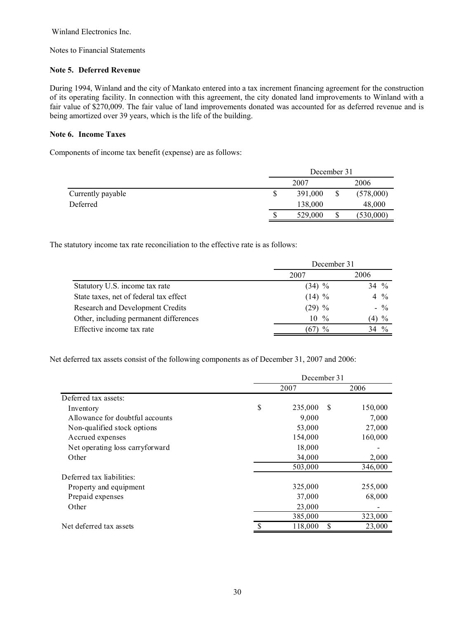Notes to Financial Statements

#### **Note 5. Deferred Revenue**

During 1994, Winland and the city of Mankato entered into a tax increment financing agreement for the construction of its operating facility. In connection with this agreement, the city donated land improvements to Winland with a fair value of \$270,009. The fair value of land improvements donated was accounted for as deferred revenue and is being amortized over 39 years, which is the life of the building.

#### **Note 6. Income Taxes**

Components of income tax benefit (expense) are as follows:

|                   |   | December 31  |    |           |  |  |
|-------------------|---|--------------|----|-----------|--|--|
|                   |   | 2007<br>2006 |    |           |  |  |
| Currently payable |   | 391,000      |    | (578,000) |  |  |
| Deferred          |   | 138,000      |    | 48,000    |  |  |
|                   | D | 529,000      | \$ | (530,000) |  |  |

The statutory income tax rate reconciliation to the effective rate is as follows:

|                                        | December 31      |                      |  |  |
|----------------------------------------|------------------|----------------------|--|--|
|                                        | 2007             | 2006                 |  |  |
| Statutory U.S. income tax rate         | $(34)$ %         | $34\frac{9}{6}$      |  |  |
| State taxes, net of federal tax effect | $(14) \%$        | $4\frac{9}{6}$       |  |  |
| Research and Development Credits       | $(29)$ %         | $-$ %                |  |  |
| Other, including permanent differences | $10 \frac{9}{6}$ | $(4)$ %              |  |  |
| Effective income tax rate              | $\frac{0}{0}$    | $\frac{0}{0}$<br>34. |  |  |

Net deferred tax assets consist of the following components as of December 31, 2007 and 2006:

|                                 | December 31 |               |         |  |  |
|---------------------------------|-------------|---------------|---------|--|--|
|                                 |             | 2006          |         |  |  |
| Deferred tax assets:            |             |               |         |  |  |
| Inventory                       | \$          | 235,000<br>-S | 150,000 |  |  |
| Allowance for doubtful accounts |             | 9,000         | 7,000   |  |  |
| Non-qualified stock options     |             | 53,000        | 27,000  |  |  |
| Accrued expenses                |             | 154,000       | 160,000 |  |  |
| Net operating loss carryforward |             | 18,000        |         |  |  |
| Other                           |             | 34,000        | 2,000   |  |  |
|                                 |             | 503,000       | 346,000 |  |  |
| Deferred tax liabilities:       |             |               |         |  |  |
| Property and equipment          |             | 325,000       | 255,000 |  |  |
| Prepaid expenses                |             | 37,000        | 68,000  |  |  |
| Other                           |             | 23,000        |         |  |  |
|                                 |             | 385,000       | 323,000 |  |  |
| Net deferred tax assets         |             | \$<br>118,000 | 23,000  |  |  |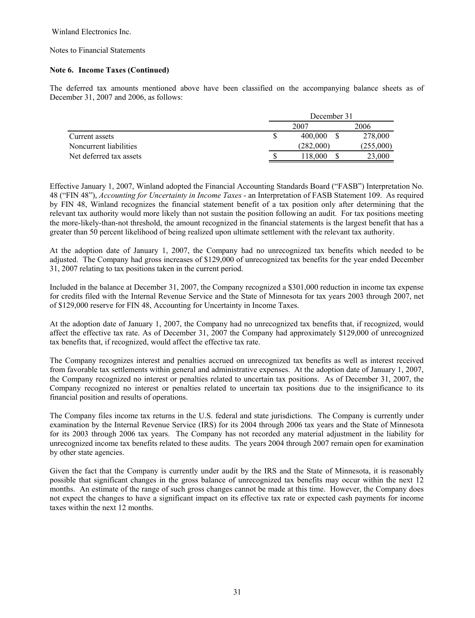Notes to Financial Statements

#### **Note 6. Income Taxes (Continued)**

The deferred tax amounts mentioned above have been classified on the accompanying balance sheets as of December 31, 2007 and 2006, as follows:

|                         |      | December 31 |  |           |  |
|-------------------------|------|-------------|--|-----------|--|
|                         | 2007 |             |  | 2006      |  |
| Current assets          |      | 400,000     |  | 278,000   |  |
| Noncurrent liabilities  |      | (282.000)   |  | (255,000) |  |
| Net deferred tax assets |      | 118.000     |  | 23,000    |  |

Effective January 1, 2007, Winland adopted the Financial Accounting Standards Board ("FASB") Interpretation No. 48 ("FIN 48"), *Accounting for Uncertainty in Income Taxes* - an Interpretation of FASB Statement 109. As required by FIN 48, Winland recognizes the financial statement benefit of a tax position only after determining that the relevant tax authority would more likely than not sustain the position following an audit. For tax positions meeting the more-likely-than-not threshold, the amount recognized in the financial statements is the largest benefit that has a greater than 50 percent likelihood of being realized upon ultimate settlement with the relevant tax authority.

At the adoption date of January 1, 2007, the Company had no unrecognized tax benefits which needed to be adjusted. The Company had gross increases of \$129,000 of unrecognized tax benefits for the year ended December 31, 2007 relating to tax positions taken in the current period.

Included in the balance at December 31, 2007, the Company recognized a \$301,000 reduction in income tax expense for credits filed with the Internal Revenue Service and the State of Minnesota for tax years 2003 through 2007, net of \$129,000 reserve for FIN 48, Accounting for Uncertainty in Income Taxes.

At the adoption date of January 1, 2007, the Company had no unrecognized tax benefits that, if recognized, would affect the effective tax rate. As of December 31, 2007 the Company had approximately \$129,000 of unrecognized tax benefits that, if recognized, would affect the effective tax rate.

The Company recognizes interest and penalties accrued on unrecognized tax benefits as well as interest received from favorable tax settlements within general and administrative expenses. At the adoption date of January 1, 2007, the Company recognized no interest or penalties related to uncertain tax positions. As of December 31, 2007, the Company recognized no interest or penalties related to uncertain tax positions due to the insignificance to its financial position and results of operations.

The Company files income tax returns in the U.S. federal and state jurisdictions. The Company is currently under examination by the Internal Revenue Service (IRS) for its 2004 through 2006 tax years and the State of Minnesota for its 2003 through 2006 tax years. The Company has not recorded any material adjustment in the liability for unrecognized income tax benefits related to these audits. The years 2004 through 2007 remain open for examination by other state agencies.

Given the fact that the Company is currently under audit by the IRS and the State of Minnesota, it is reasonably possible that significant changes in the gross balance of unrecognized tax benefits may occur within the next 12 months. An estimate of the range of such gross changes cannot be made at this time. However, the Company does not expect the changes to have a significant impact on its effective tax rate or expected cash payments for income taxes within the next 12 months.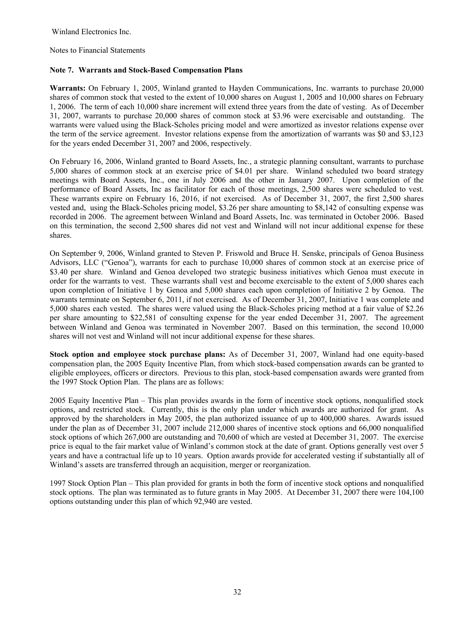Notes to Financial Statements

#### **Note 7. Warrants and Stock-Based Compensation Plans**

**Warrants:** On February 1, 2005, Winland granted to Hayden Communications, Inc. warrants to purchase 20,000 shares of common stock that vested to the extent of 10,000 shares on August 1, 2005 and 10,000 shares on February 1, 2006. The term of each 10,000 share increment will extend three years from the date of vesting. As of December 31, 2007, warrants to purchase 20,000 shares of common stock at \$3.96 were exercisable and outstanding. The warrants were valued using the Black-Scholes pricing model and were amortized as investor relations expense over the term of the service agreement. Investor relations expense from the amortization of warrants was \$0 and \$3,123 for the years ended December 31, 2007 and 2006, respectively.

On February 16, 2006, Winland granted to Board Assets, Inc., a strategic planning consultant, warrants to purchase 5,000 shares of common stock at an exercise price of \$4.01 per share. Winland scheduled two board strategy meetings with Board Assets, Inc., one in July 2006 and the other in January 2007. Upon completion of the performance of Board Assets, Inc as facilitator for each of those meetings, 2,500 shares were scheduled to vest. These warrants expire on February 16, 2016, if not exercised. As of December 31, 2007, the first 2,500 shares vested and, using the Black-Scholes pricing model, \$3.26 per share amounting to \$8,142 of consulting expense was recorded in 2006. The agreement between Winland and Board Assets, Inc. was terminated in October 2006. Based on this termination, the second 2,500 shares did not vest and Winland will not incur additional expense for these shares.

On September 9, 2006, Winland granted to Steven P. Friswold and Bruce H. Senske, principals of Genoa Business Advisors, LLC ("Genoa"), warrants for each to purchase 10,000 shares of common stock at an exercise price of \$3.40 per share. Winland and Genoa developed two strategic business initiatives which Genoa must execute in order for the warrants to vest. These warrants shall vest and become exercisable to the extent of 5,000 shares each upon completion of Initiative 1 by Genoa and 5,000 shares each upon completion of Initiative 2 by Genoa. The warrants terminate on September 6, 2011, if not exercised. As of December 31, 2007, Initiative 1 was complete and 5,000 shares each vested. The shares were valued using the Black-Scholes pricing method at a fair value of \$2.26 per share amounting to \$22,581 of consulting expense for the year ended December 31, 2007. The agreement between Winland and Genoa was terminated in November 2007. Based on this termination, the second 10,000 shares will not vest and Winland will not incur additional expense for these shares.

**Stock option and employee stock purchase plans:** As of December 31, 2007, Winland had one equity-based compensation plan, the 2005 Equity Incentive Plan, from which stock-based compensation awards can be granted to eligible employees, officers or directors. Previous to this plan, stock-based compensation awards were granted from the 1997 Stock Option Plan. The plans are as follows:

2005 Equity Incentive Plan – This plan provides awards in the form of incentive stock options, nonqualified stock options, and restricted stock. Currently, this is the only plan under which awards are authorized for grant. As approved by the shareholders in May 2005, the plan authorized issuance of up to 400,000 shares. Awards issued under the plan as of December 31, 2007 include 212,000 shares of incentive stock options and 66,000 nonqualified stock options of which 267,000 are outstanding and 70,600 of which are vested at December 31, 2007. The exercise price is equal to the fair market value of Winland's common stock at the date of grant. Options generally vest over 5 years and have a contractual life up to 10 years. Option awards provide for accelerated vesting if substantially all of Winland's assets are transferred through an acquisition, merger or reorganization.

1997 Stock Option Plan – This plan provided for grants in both the form of incentive stock options and nonqualified stock options. The plan was terminated as to future grants in May 2005. At December 31, 2007 there were 104,100 options outstanding under this plan of which 92,940 are vested.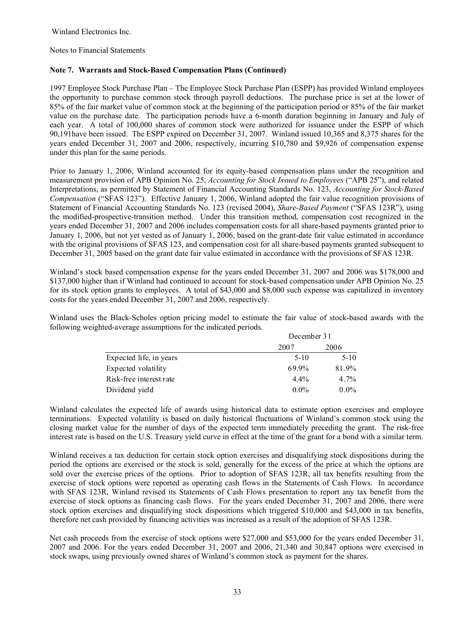Notes to Financial Statements

#### **Note 7. Warrants and Stock-Based Compensation Plans (Continued)**

1997 Employee Stock Purchase Plan – The Employee Stock Purchase Plan (ESPP) has provided Winland employees the opportunity to purchase common stock through payroll deductions. The purchase price is set at the lower of 85% of the fair market value of common stock at the beginning of the participation period or 85% of the fair market value on the purchase date. The participation periods have a 6-month duration beginning in January and July of each year. A total of 100,000 shares of common stock were authorized for issuance under the ESPP of which 90,191have been issued. The ESPP expired on December 31, 2007. Winland issued 10,365 and 8,375 shares for the years ended December 31, 2007 and 2006, respectively, incurring \$10,780 and \$9,926 of compensation expense under this plan for the same periods.

Prior to January 1, 2006, Winland accounted for its equity-based compensation plans under the recognition and measurement provision of APB Opinion No. 25, *Accounting for Stock Issued to Employees* ("APB 25"), and related Interpretations, as permitted by Statement of Financial Accounting Standards No. 123, *Accounting for Stock-Based Compensation* ("SFAS 123"). Effective January 1, 2006, Winland adopted the fair value recognition provisions of Statement of Financial Accounting Standards No. 123 (revised 2004), *Share-Based Payment* ("SFAS 123R"), using the modified-prospective-transition method. Under this transition method, compensation cost recognized in the years ended December 31, 2007 and 2006 includes compensation costs for all share-based payments granted prior to January 1, 2006, but not yet vested as of January 1, 2006, based on the grant-date fair value estimated in accordance with the original provisions of SFAS 123, and compensation cost for all share-based payments granted subsequent to December 31, 2005 based on the grant date fair value estimated in accordance with the provisions of SFAS 123R.

Winland's stock based compensation expense for the years ended December 31, 2007 and 2006 was \$178,000 and \$137,000 higher than if Winland had continued to account for stock-based compensation under APB Opinion No. 25 for its stock option grants to employees. A total of \$43,000 and \$8,000 such expense was capitalized in inventory costs for the years ended December 31, 2007 and 2006, respectively.

Winland uses the Black-Scholes option pricing model to estimate the fair value of stock-based awards with the following weighted-average assumptions for the indicated periods.

|                         | December 31 |         |  |  |
|-------------------------|-------------|---------|--|--|
|                         | 2007        | 2006    |  |  |
| Expected life, in years | $5-10$      | $5-10$  |  |  |
| Expected volatility     | 69.9%       | 81.9%   |  |  |
| Risk-free interest rate | $4.4\%$     | $4.7\%$ |  |  |
| Dividend yield          | $0.0\%$     | $0.0\%$ |  |  |

Winland calculates the expected life of awards using historical data to estimate option exercises and employee terminations. Expected volatility is based on daily historical fluctuations of Winland's common stock using the closing market value for the number of days of the expected term immediately preceding the grant. The risk-free interest rate is based on the U.S. Treasury yield curve in effect at the time of the grant for a bond with a similar term.

Winland receives a tax deduction for certain stock option exercises and disqualifying stock dispositions during the period the options are exercised or the stock is sold, generally for the excess of the price at which the options are sold over the exercise prices of the options. Prior to adoption of SFAS 123R, all tax benefits resulting from the exercise of stock options were reported as operating cash flows in the Statements of Cash Flows. In accordance with SFAS 123R, Winland revised its Statements of Cash Flows presentation to report any tax benefit from the exercise of stock options as financing cash flows. For the years ended December 31, 2007 and 2006, there were stock option exercises and disqualifying stock dispositions which triggered \$10,000 and \$43,000 in tax benefits, therefore net cash provided by financing activities was increased as a result of the adoption of SFAS 123R.

Net cash proceeds from the exercise of stock options were \$27,000 and \$53,000 for the years ended December 31, 2007 and 2006. For the years ended December 31, 2007 and 2006, 21,340 and 30,847 options were exercised in stock swaps, using previously owned shares of Winland's common stock as payment for the shares.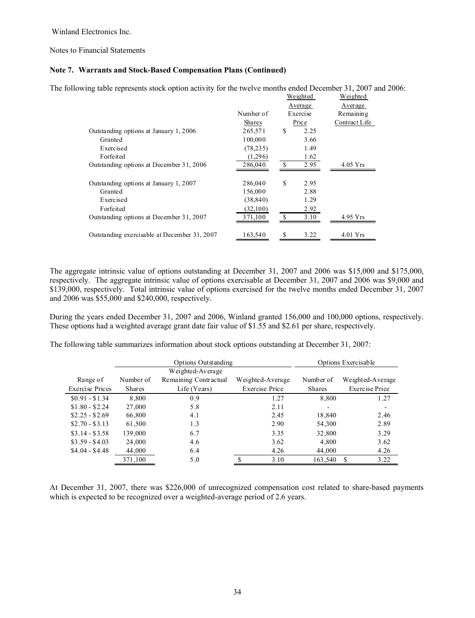Notes to Financial Statements

#### **Note 7. Warrants and Stock-Based Compensation Plans (Continued)**

The following table represents stock option activity for the twelve months ended December 31, 2007 and 2006: Weighted Weighted

|                                              |               | Average  |       | Average       |
|----------------------------------------------|---------------|----------|-------|---------------|
|                                              | Number of     | Exercise |       | Remaining     |
|                                              | <b>Shares</b> |          | Price | Contract Life |
| Outstanding options at January 1, 2006       | 265,571       | \$       | 2.25  |               |
| Granted                                      | 100,000       |          | 3.66  |               |
| Exercised                                    | (78, 235)     |          | 1.49  |               |
| Forfeited                                    | (1,296)       |          | 1.62  |               |
| Outstanding options at December 31, 2006     | 286,040       | S        | 2.95  | $4.05$ Yrs    |
|                                              |               |          |       |               |
| Outstanding options at January 1, 2007       | 286,040       | \$       | 2.95  |               |
| Granted                                      | 156,000       |          | 2.88  |               |
| Exercised                                    | (38, 840)     |          | 1.29  |               |
| Forfeited                                    | (32,100)      |          | 2.92  |               |
| Outstanding options at December 31, 2007     | 371,100       |          | 3.10  | 4.95 Yrs      |
|                                              |               |          |       |               |
| Outstanding exercisable at December 31, 2007 | 163,540       | \$       | 3.22  | $4.01$ Yrs    |

The aggregate intrinsic value of options outstanding at December 31, 2007 and 2006 was \$15,000 and \$175,000, respectively. The aggregate intrinsic value of options exercisable at December 31, 2007 and 2006 was \$9,000 and \$139,000, respectively. Total intrinsic value of options exercised for the twelve months ended December 31, 2007 and 2006 was \$55,000 and \$240,000, respectively.

During the years ended December 31, 2007 and 2006, Winland granted 156,000 and 100,000 options, respectively. These options had a weighted average grant date fair value of \$1.55 and \$2.61 per share, respectively.

The following table summarizes information about stock options outstanding at December 31, 2007:

|                        |               | <b>Options Outstanding</b> |                  |               | Options Exercisable |
|------------------------|---------------|----------------------------|------------------|---------------|---------------------|
|                        |               | Weighted-Average           |                  |               |                     |
| Range of               | Number of     | Remaining Contractual      | Weighted-Average | Number of     | Weighted-Average    |
| <b>Exercise Prices</b> | <b>Shares</b> | Life (Years)               | Exercise Price   | <b>Shares</b> | Exercise Price      |
| $$0.91 - $1.34$        | 8,800         | 0.9                        | 1.27             | 8.800         | 1.27                |
| $$1.80 - $2.24$        | 27,000        | 5.8                        | 2.11             |               |                     |
| $$2.25 - $2.69$        | 66,800        | 4.1                        | 2.45             | 18,840        | 2.46                |
| $$2.70 - $3.13$        | 61,500        | 1.3                        | 2.90             | 54,300        | 2.89                |
| $$3.14 - $3.58$        | 139,000       | 6.7                        | 3.35             | 32,800        | 3.29                |
| $$3.59 - $4.03$        | 24,000        | 4.6                        | 3.62             | 4.800         | 3.62                |
| $$4.04 - $4.48$        | 44,000        | 6.4                        | 4.26             | 44,000        | 4.26                |
|                        | 371,100       | 5.0                        | 3.10             | 163,540       | 3.22                |

At December 31, 2007, there was \$226,000 of unrecognized compensation cost related to share-based payments which is expected to be recognized over a weighted-average period of 2.6 years.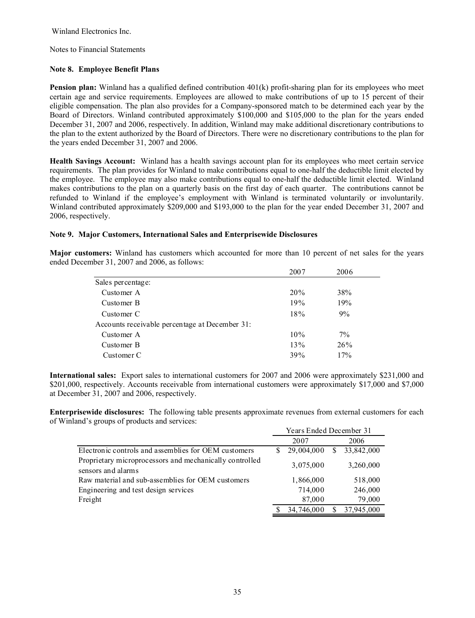Notes to Financial Statements

#### **Note 8. Employee Benefit Plans**

**Pension plan:** Winland has a qualified defined contribution 401(k) profit-sharing plan for its employees who meet certain age and service requirements. Employees are allowed to make contributions of up to 15 percent of their eligible compensation. The plan also provides for a Company-sponsored match to be determined each year by the Board of Directors. Winland contributed approximately \$100,000 and \$105,000 to the plan for the years ended December 31, 2007 and 2006, respectively. In addition, Winland may make additional discretionary contributions to the plan to the extent authorized by the Board of Directors. There were no discretionary contributions to the plan for the years ended December 31, 2007 and 2006.

**Health Savings Account:** Winland has a health savings account plan for its employees who meet certain service requirements. The plan provides for Winland to make contributions equal to one-half the deductible limit elected by the employee. The employee may also make contributions equal to one-half the deductible limit elected. Winland makes contributions to the plan on a quarterly basis on the first day of each quarter. The contributions cannot be refunded to Winland if the employee's employment with Winland is terminated voluntarily or involuntarily. Winland contributed approximately \$209,000 and \$193,000 to the plan for the year ended December 31, 2007 and 2006, respectively.

#### **Note 9. Major Customers, International Sales and Enterprisewide Disclosures**

**Major customers:** Winland has customers which accounted for more than 10 percent of net sales for the years ended December 31, 2007 and 2006, as follows:

| 2007 | 2006  |  |
|------|-------|--|
|      |       |  |
| 20%  | 38%   |  |
| 19%  | 19%   |  |
| 18%  | 9%    |  |
|      |       |  |
| 10%  | $7\%$ |  |
| 13%  | 26%   |  |
| 39%  | 17%   |  |
|      |       |  |

**International sales:** Export sales to international customers for 2007 and 2006 were approximately \$231,000 and \$201,000, respectively. Accounts receivable from international customers were approximately \$17,000 and \$7,000 at December 31, 2007 and 2006, respectively.

**Enterprisewide disclosures:** The following table presents approximate revenues from external customers for each of Winland's groups of products and services:

|                                                                               | Years Ended December 31 |            |   |            |
|-------------------------------------------------------------------------------|-------------------------|------------|---|------------|
|                                                                               |                         | 2007       |   | 2006       |
| Electronic controls and assemblies for OEM customers                          |                         | 29,004,000 | S | 33,842,000 |
| Proprietary microprocessors and mechanically controlled<br>sensors and alarms |                         | 3,075,000  |   | 3,260,000  |
| Raw material and sub-assemblies for OEM customers                             |                         | 1,866,000  |   | 518,000    |
| Engineering and test design services                                          |                         | 714,000    |   | 246,000    |
| Freight                                                                       |                         | 87,000     |   | 79,000     |
|                                                                               |                         | 34,746,000 |   | 37,945,000 |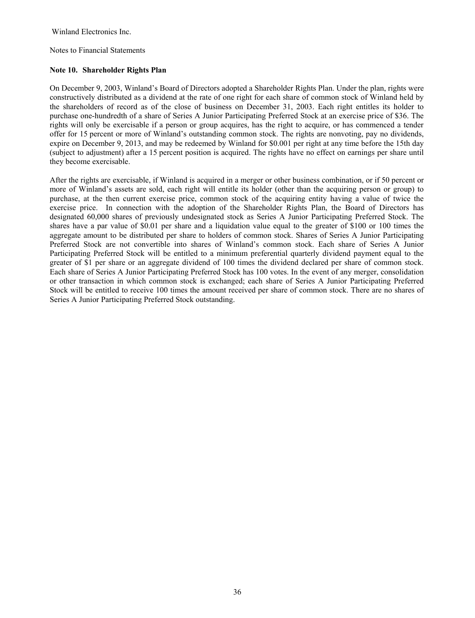Notes to Financial Statements

#### **Note 10. Shareholder Rights Plan**

On December 9, 2003, Winland's Board of Directors adopted a Shareholder Rights Plan. Under the plan, rights were constructively distributed as a dividend at the rate of one right for each share of common stock of Winland held by the shareholders of record as of the close of business on December 31, 2003. Each right entitles its holder to purchase one-hundredth of a share of Series A Junior Participating Preferred Stock at an exercise price of \$36. The rights will only be exercisable if a person or group acquires, has the right to acquire, or has commenced a tender offer for 15 percent or more of Winland's outstanding common stock. The rights are nonvoting, pay no dividends, expire on December 9, 2013, and may be redeemed by Winland for \$0.001 per right at any time before the 15th day (subject to adjustment) after a 15 percent position is acquired. The rights have no effect on earnings per share until they become exercisable.

After the rights are exercisable, if Winland is acquired in a merger or other business combination, or if 50 percent or more of Winland's assets are sold, each right will entitle its holder (other than the acquiring person or group) to purchase, at the then current exercise price, common stock of the acquiring entity having a value of twice the exercise price. In connection with the adoption of the Shareholder Rights Plan, the Board of Directors has designated 60,000 shares of previously undesignated stock as Series A Junior Participating Preferred Stock. The shares have a par value of \$0.01 per share and a liquidation value equal to the greater of \$100 or 100 times the aggregate amount to be distributed per share to holders of common stock. Shares of Series A Junior Participating Preferred Stock are not convertible into shares of Winland's common stock. Each share of Series A Junior Participating Preferred Stock will be entitled to a minimum preferential quarterly dividend payment equal to the greater of \$1 per share or an aggregate dividend of 100 times the dividend declared per share of common stock. Each share of Series A Junior Participating Preferred Stock has 100 votes. In the event of any merger, consolidation or other transaction in which common stock is exchanged; each share of Series A Junior Participating Preferred Stock will be entitled to receive 100 times the amount received per share of common stock. There are no shares of Series A Junior Participating Preferred Stock outstanding.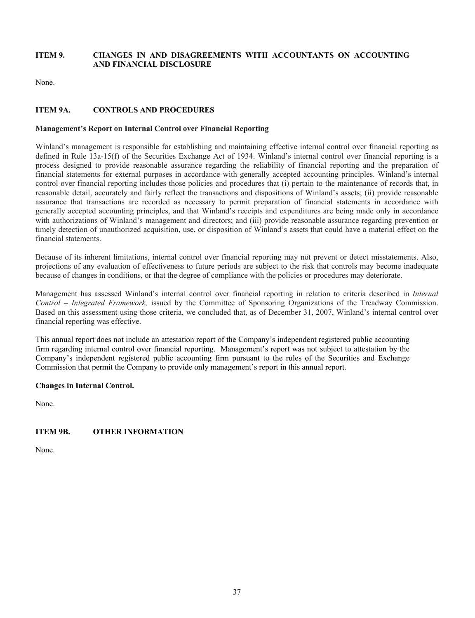# **ITEM 9. CHANGES IN AND DISAGREEMENTS WITH ACCOUNTANTS ON ACCOUNTING AND FINANCIAL DISCLOSURE**

None.

# **ITEM 9A. CONTROLS AND PROCEDURES**

## **Management's Report on Internal Control over Financial Reporting**

Winland's management is responsible for establishing and maintaining effective internal control over financial reporting as defined in Rule 13a-15(f) of the Securities Exchange Act of 1934. Winland's internal control over financial reporting is a process designed to provide reasonable assurance regarding the reliability of financial reporting and the preparation of financial statements for external purposes in accordance with generally accepted accounting principles. Winland's internal control over financial reporting includes those policies and procedures that (i) pertain to the maintenance of records that, in reasonable detail, accurately and fairly reflect the transactions and dispositions of Winland's assets; (ii) provide reasonable assurance that transactions are recorded as necessary to permit preparation of financial statements in accordance with generally accepted accounting principles, and that Winland's receipts and expenditures are being made only in accordance with authorizations of Winland's management and directors; and (iii) provide reasonable assurance regarding prevention or timely detection of unauthorized acquisition, use, or disposition of Winland's assets that could have a material effect on the financial statements.

Because of its inherent limitations, internal control over financial reporting may not prevent or detect misstatements. Also, projections of any evaluation of effectiveness to future periods are subject to the risk that controls may become inadequate because of changes in conditions, or that the degree of compliance with the policies or procedures may deteriorate.

Management has assessed Winland's internal control over financial reporting in relation to criteria described in *Internal Control – Integrated Framework,* issued by the Committee of Sponsoring Organizations of the Treadway Commission. Based on this assessment using those criteria, we concluded that, as of December 31, 2007, Winland's internal control over financial reporting was effective.

This annual report does not include an attestation report of the Company's independent registered public accounting firm regarding internal control over financial reporting. Management's report was not subject to attestation by the Company's independent registered public accounting firm pursuant to the rules of the Securities and Exchange Commission that permit the Company to provide only management's report in this annual report.

#### **Changes in Internal Control.**

None.

# **ITEM 9B. OTHER INFORMATION**

None.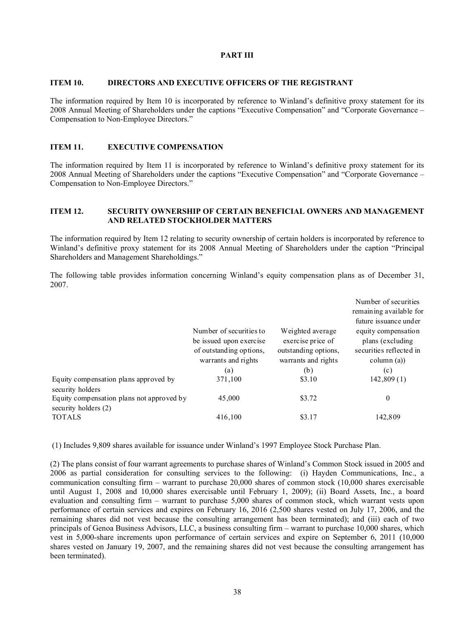#### **PART III**

#### **ITEM 10. DIRECTORS AND EXECUTIVE OFFICERS OF THE REGISTRANT**

The information required by Item 10 is incorporated by reference to Winland's definitive proxy statement for its 2008 Annual Meeting of Shareholders under the captions "Executive Compensation" and "Corporate Governance – Compensation to Non-Employee Directors."

## **ITEM 11. EXECUTIVE COMPENSATION**

The information required by Item 11 is incorporated by reference to Winland's definitive proxy statement for its 2008 Annual Meeting of Shareholders under the captions "Executive Compensation" and "Corporate Governance – Compensation to Non-Employee Directors."

#### **ITEM 12. SECURITY OWNERSHIP OF CERTAIN BENEFICIAL OWNERS AND MANAGEMENT AND RELATED STOCKHOLDER MATTERS**

The information required by Item 12 relating to security ownership of certain holders is incorporated by reference to Winland's definitive proxy statement for its 2008 Annual Meeting of Shareholders under the caption "Principal Shareholders and Management Shareholdings."

The following table provides information concerning Winland's equity compensation plans as of December 31, 2007.

|                                                                   |                         |                      | Number of securities<br>remaining available for<br>future issuance under |
|-------------------------------------------------------------------|-------------------------|----------------------|--------------------------------------------------------------------------|
|                                                                   | Number of securities to | Weighted average     | equity compensation                                                      |
|                                                                   | be issued upon exercise | exercise price of    | plans (excluding)                                                        |
|                                                                   | of outstanding options, | outstanding options, | securities reflected in                                                  |
|                                                                   | warrants and rights     | warrants and rights  | $\text{column (a))}$                                                     |
|                                                                   | (a)                     | (b)                  | (c)                                                                      |
| Equity compensation plans approved by<br>security holders         | 371,100                 | \$3.10               | 142,809(1)                                                               |
| Equity compensation plans not approved by<br>security holders (2) | 45,000                  | \$3.72               | $\mathbf{0}$                                                             |
| TOTALS                                                            | 416,100                 | \$3.17               | 142,809                                                                  |

(1) Includes 9,809 shares available for issuance under Winland's 1997 Employee Stock Purchase Plan.

(2) The plans consist of four warrant agreements to purchase shares of Winland's Common Stock issued in 2005 and 2006 as partial consideration for consulting services to the following: (i) Hayden Communications, Inc., a communication consulting firm – warrant to purchase 20,000 shares of common stock (10,000 shares exercisable until August 1, 2008 and 10,000 shares exercisable until February 1, 2009); (ii) Board Assets, Inc., a board evaluation and consulting firm – warrant to purchase 5,000 shares of common stock, which warrant vests upon performance of certain services and expires on February 16, 2016 (2,500 shares vested on July 17, 2006, and the remaining shares did not vest because the consulting arrangement has been terminated); and (iii) each of two principals of Genoa Business Advisors, LLC, a business consulting firm – warrant to purchase 10,000 shares, which vest in 5,000-share increments upon performance of certain services and expire on September 6, 2011 (10,000 shares vested on January 19, 2007, and the remaining shares did not vest because the consulting arrangement has been terminated).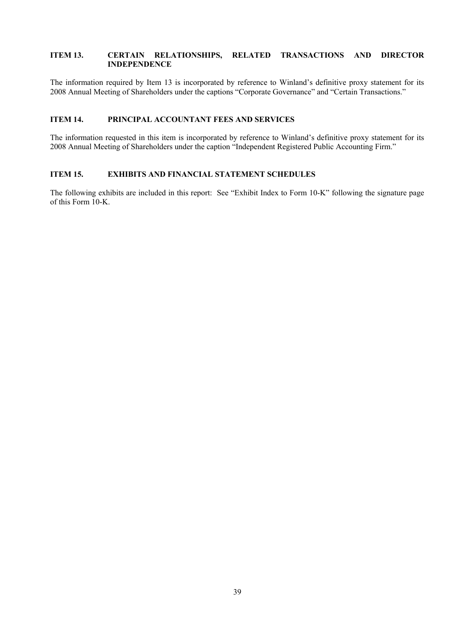#### **ITEM 13. CERTAIN RELATIONSHIPS, RELATED TRANSACTIONS AND DIRECTOR INDEPENDENCE**

The information required by Item 13 is incorporated by reference to Winland's definitive proxy statement for its 2008 Annual Meeting of Shareholders under the captions "Corporate Governance" and "Certain Transactions."

## **ITEM 14. PRINCIPAL ACCOUNTANT FEES AND SERVICES**

The information requested in this item is incorporated by reference to Winland's definitive proxy statement for its 2008 Annual Meeting of Shareholders under the caption "Independent Registered Public Accounting Firm."

#### **ITEM 15. EXHIBITS AND FINANCIAL STATEMENT SCHEDULES**

The following exhibits are included in this report: See "Exhibit Index to Form 10-K" following the signature page of this Form 10-K.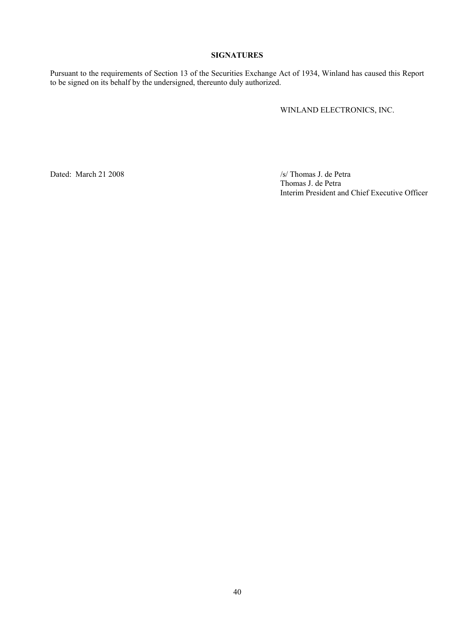# **SIGNATURES**

Pursuant to the requirements of Section 13 of the Securities Exchange Act of 1934, Winland has caused this Report to be signed on its behalf by the undersigned, thereunto duly authorized.

WINLAND ELECTRONICS, INC.

Dated: March 21 2008 /s/ Thomas J. de Petra

Thomas J. de Petra Interim President and Chief Executive Officer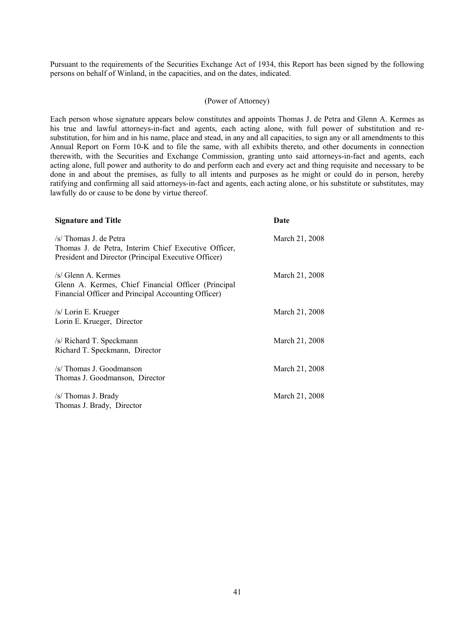Pursuant to the requirements of the Securities Exchange Act of 1934, this Report has been signed by the following persons on behalf of Winland, in the capacities, and on the dates, indicated.

#### (Power of Attorney)

Each person whose signature appears below constitutes and appoints Thomas J. de Petra and Glenn A. Kermes as his true and lawful attorneys-in-fact and agents, each acting alone, with full power of substitution and resubstitution, for him and in his name, place and stead, in any and all capacities, to sign any or all amendments to this Annual Report on Form 10-K and to file the same, with all exhibits thereto, and other documents in connection therewith, with the Securities and Exchange Commission, granting unto said attorneys-in-fact and agents, each acting alone, full power and authority to do and perform each and every act and thing requisite and necessary to be done in and about the premises, as fully to all intents and purposes as he might or could do in person, hereby ratifying and confirming all said attorneys-in-fact and agents, each acting alone, or his substitute or substitutes, may lawfully do or cause to be done by virtue thereof.

| <b>Signature and Title</b>                                                                                                             | Date           |
|----------------------------------------------------------------------------------------------------------------------------------------|----------------|
| /s/ Thomas J. de Petra<br>Thomas J. de Petra, Interim Chief Executive Officer,<br>President and Director (Principal Executive Officer) | March 21, 2008 |
| $/s$ Glenn A. Kermes<br>Glenn A. Kermes, Chief Financial Officer (Principal<br>Financial Officer and Principal Accounting Officer)     | March 21, 2008 |
| /s/ Lorin E. Krueger<br>Lorin E. Krueger, Director                                                                                     | March 21, 2008 |
| /s/ Richard T. Speckmann<br>Richard T. Speckmann, Director                                                                             | March 21, 2008 |
| /s/ Thomas J. Goodmanson<br>Thomas J. Goodmanson, Director                                                                             | March 21, 2008 |
| /s/ Thomas J. Brady<br>Thomas J. Brady, Director                                                                                       | March 21, 2008 |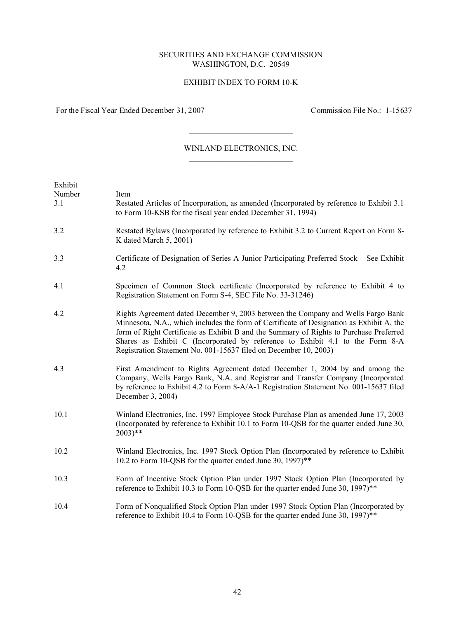# SECURITIES AND EXCHANGE COMMISSION WASHINGTON, D.C. 20549

## EXHIBIT INDEX TO FORM 10-K

For the Fiscal Year Ended December 31, 2007 Commission File No.: 1-15637

## WINLAND ELECTRONICS, INC.  $\mathcal{L}_\text{max}$

 $\mathcal{L}_\text{max}$ 

| Exhibit<br>Number<br>3.1 | Item<br>Restated Articles of Incorporation, as amended (Incorporated by reference to Exhibit 3.1)<br>to Form 10-KSB for the fiscal year ended December 31, 1994)                                                                                                                                                                                                                                                            |
|--------------------------|-----------------------------------------------------------------------------------------------------------------------------------------------------------------------------------------------------------------------------------------------------------------------------------------------------------------------------------------------------------------------------------------------------------------------------|
| 3.2                      | Restated Bylaws (Incorporated by reference to Exhibit 3.2 to Current Report on Form 8-<br>K dated March 5, 2001)                                                                                                                                                                                                                                                                                                            |
| 3.3                      | Certificate of Designation of Series A Junior Participating Preferred Stock – See Exhibit<br>4.2                                                                                                                                                                                                                                                                                                                            |
| 4.1                      | Specimen of Common Stock certificate (Incorporated by reference to Exhibit 4 to<br>Registration Statement on Form S-4, SEC File No. 33-31246)                                                                                                                                                                                                                                                                               |
| 4.2                      | Rights Agreement dated December 9, 2003 between the Company and Wells Fargo Bank<br>Minnesota, N.A., which includes the form of Certificate of Designation as Exhibit A, the<br>form of Right Certificate as Exhibit B and the Summary of Rights to Purchase Preferred<br>Shares as Exhibit C (Incorporated by reference to Exhibit 4.1 to the Form 8-A<br>Registration Statement No. 001-15637 filed on December 10, 2003) |
| 4.3                      | First Amendment to Rights Agreement dated December 1, 2004 by and among the<br>Company, Wells Fargo Bank, N.A. and Registrar and Transfer Company (Incorporated<br>by reference to Exhibit 4.2 to Form 8-A/A-1 Registration Statement No. 001-15637 filed<br>December 3, 2004)                                                                                                                                              |
| 10.1                     | Winland Electronics, Inc. 1997 Employee Stock Purchase Plan as amended June 17, 2003<br>(Incorporated by reference to Exhibit 10.1 to Form 10-QSB for the quarter ended June 30,<br>$2003)**$                                                                                                                                                                                                                               |
| 10.2                     | Winland Electronics, Inc. 1997 Stock Option Plan (Incorporated by reference to Exhibit<br>10.2 to Form 10-QSB for the quarter ended June 30, 1997)**                                                                                                                                                                                                                                                                        |
| 10.3                     | Form of Incentive Stock Option Plan under 1997 Stock Option Plan (Incorporated by<br>reference to Exhibit 10.3 to Form 10-QSB for the quarter ended June 30, 1997)**                                                                                                                                                                                                                                                        |
| 10.4                     | Form of Nonqualified Stock Option Plan under 1997 Stock Option Plan (Incorporated by<br>reference to Exhibit 10.4 to Form 10-QSB for the quarter ended June 30, 1997)**                                                                                                                                                                                                                                                     |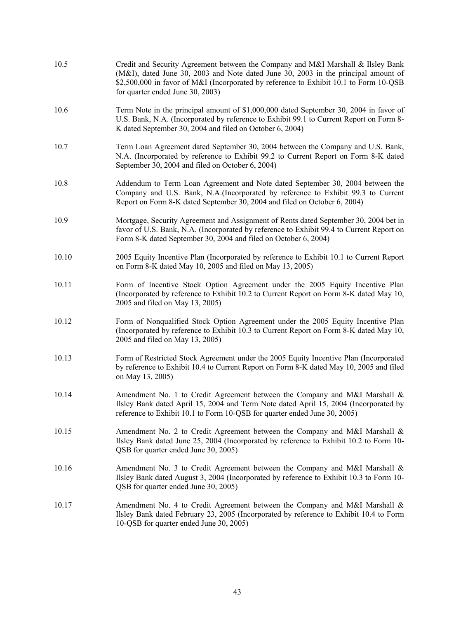| 10.5  | Credit and Security Agreement between the Company and M&I Marshall & Ilsley Bank<br>(M&I), dated June 30, 2003 and Note dated June 30, 2003 in the principal amount of<br>\$2,500,000 in favor of M&I (Incorporated by reference to Exhibit 10.1 to Form 10-QSB<br>for quarter ended June 30, 2003) |
|-------|-----------------------------------------------------------------------------------------------------------------------------------------------------------------------------------------------------------------------------------------------------------------------------------------------------|
| 10.6  | Term Note in the principal amount of \$1,000,000 dated September 30, 2004 in favor of<br>U.S. Bank, N.A. (Incorporated by reference to Exhibit 99.1 to Current Report on Form 8-<br>K dated September 30, 2004 and filed on October 6, 2004)                                                        |
| 10.7  | Term Loan Agreement dated September 30, 2004 between the Company and U.S. Bank,<br>N.A. (Incorporated by reference to Exhibit 99.2 to Current Report on Form 8-K dated<br>September 30, 2004 and filed on October 6, 2004)                                                                          |
| 10.8  | Addendum to Term Loan Agreement and Note dated September 30, 2004 between the<br>Company and U.S. Bank, N.A. (Incorporated by reference to Exhibit 99.3 to Current<br>Report on Form 8-K dated September 30, 2004 and filed on October 6, 2004)                                                     |
| 10.9  | Mortgage, Security Agreement and Assignment of Rents dated September 30, 2004 bet in<br>favor of U.S. Bank, N.A. (Incorporated by reference to Exhibit 99.4 to Current Report on<br>Form 8-K dated September 30, 2004 and filed on October 6, 2004)                                                 |
| 10.10 | 2005 Equity Incentive Plan (Incorporated by reference to Exhibit 10.1 to Current Report<br>on Form 8-K dated May 10, 2005 and filed on May 13, 2005)                                                                                                                                                |
| 10.11 | Form of Incentive Stock Option Agreement under the 2005 Equity Incentive Plan<br>(Incorporated by reference to Exhibit 10.2 to Current Report on Form 8-K dated May 10,<br>2005 and filed on May 13, 2005)                                                                                          |
| 10.12 | Form of Nonqualified Stock Option Agreement under the 2005 Equity Incentive Plan<br>(Incorporated by reference to Exhibit 10.3 to Current Report on Form 8-K dated May 10,<br>2005 and filed on May 13, 2005)                                                                                       |
| 10.13 | Form of Restricted Stock Agreement under the 2005 Equity Incentive Plan (Incorporated<br>by reference to Exhibit 10.4 to Current Report on Form 8-K dated May 10, 2005 and filed<br>on May 13, 2005)                                                                                                |
| 10.14 | Amendment No. 1 to Credit Agreement between the Company and M&I Marshall &<br>Ilsley Bank dated April 15, 2004 and Term Note dated April 15, 2004 (Incorporated by<br>reference to Exhibit 10.1 to Form 10-QSB for quarter ended June 30, 2005)                                                     |
| 10.15 | Amendment No. 2 to Credit Agreement between the Company and M&I Marshall &<br>Ilsley Bank dated June 25, 2004 (Incorporated by reference to Exhibit 10.2 to Form 10-<br>QSB for quarter ended June 30, 2005)                                                                                        |
| 10.16 | Amendment No. 3 to Credit Agreement between the Company and M&I Marshall &<br>Ilsley Bank dated August 3, 2004 (Incorporated by reference to Exhibit 10.3 to Form 10-<br>QSB for quarter ended June 30, 2005)                                                                                       |
| 10.17 | Amendment No. 4 to Credit Agreement between the Company and M&I Marshall &<br>Ilsley Bank dated February 23, 2005 (Incorporated by reference to Exhibit 10.4 to Form<br>10-QSB for quarter ended June 30, 2005)                                                                                     |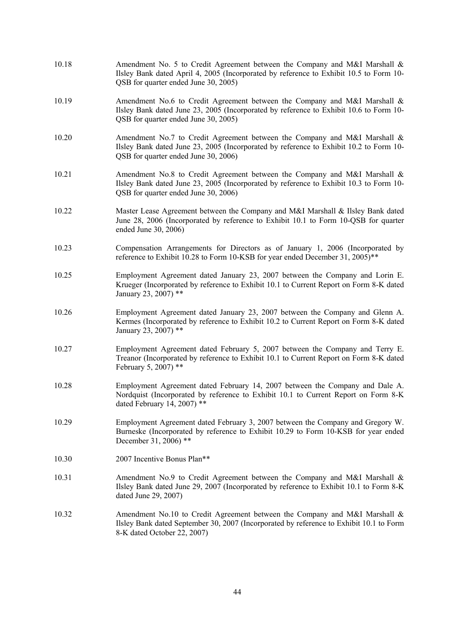10.18 Amendment No. 5 to Credit Agreement between the Company and M&I Marshall & Ilsley Bank dated April 4, 2005 (Incorporated by reference to Exhibit 10.5 to Form 10- QSB for quarter ended June 30, 2005) 10.19 Amendment No.6 to Credit Agreement between the Company and M&I Marshall & Ilsley Bank dated June 23, 2005 (Incorporated by reference to Exhibit 10.6 to Form 10- QSB for quarter ended June 30, 2005) 10.20 Amendment No.7 to Credit Agreement between the Company and M&I Marshall & Ilsley Bank dated June 23, 2005 (Incorporated by reference to Exhibit 10.2 to Form 10- QSB for quarter ended June 30, 2006) 10.21 Amendment No.8 to Credit Agreement between the Company and M&I Marshall & Ilsley Bank dated June 23, 2005 (Incorporated by reference to Exhibit 10.3 to Form 10- QSB for quarter ended June 30, 2006) 10.22 Master Lease Agreement between the Company and M&I Marshall & Ilsley Bank dated June 28, 2006 (Incorporated by reference to Exhibit 10.1 to Form 10-QSB for quarter ended June 30, 2006) 10.23 Compensation Arrangements for Directors as of January 1, 2006 (Incorporated by reference to Exhibit 10.28 to Form 10-KSB for year ended December 31, 2005)\*\* 10.25 Employment Agreement dated January 23, 2007 between the Company and Lorin E. Krueger (Incorporated by reference to Exhibit 10.1 to Current Report on Form 8-K dated January 23, 2007) \*\* 10.26 Employment Agreement dated January 23, 2007 between the Company and Glenn A. Kermes (Incorporated by reference to Exhibit 10.2 to Current Report on Form 8-K dated January 23, 2007) \*\* 10.27 Employment Agreement dated February 5, 2007 between the Company and Terry E. Treanor (Incorporated by reference to Exhibit 10.1 to Current Report on Form 8-K dated February 5, 2007) \*\* 10.28 Employment Agreement dated February 14, 2007 between the Company and Dale A. Nordquist (Incorporated by reference to Exhibit 10.1 to Current Report on Form 8-K dated February 14, 2007) \*\* 10.29 Employment Agreement dated February 3, 2007 between the Company and Gregory W. Burneske (Incorporated by reference to Exhibit 10.29 to Form 10-KSB for year ended December 31, 2006) \*\* 10.30 2007 Incentive Bonus Plan\*\* 10.31 Amendment No.9 to Credit Agreement between the Company and M&I Marshall & Ilsley Bank dated June 29, 2007 (Incorporated by reference to Exhibit 10.1 to Form 8-K dated June 29, 2007) 10.32 Amendment No.10 to Credit Agreement between the Company and M&I Marshall & Ilsley Bank dated September 30, 2007 (Incorporated by reference to Exhibit 10.1 to Form 8-K dated October 22, 2007)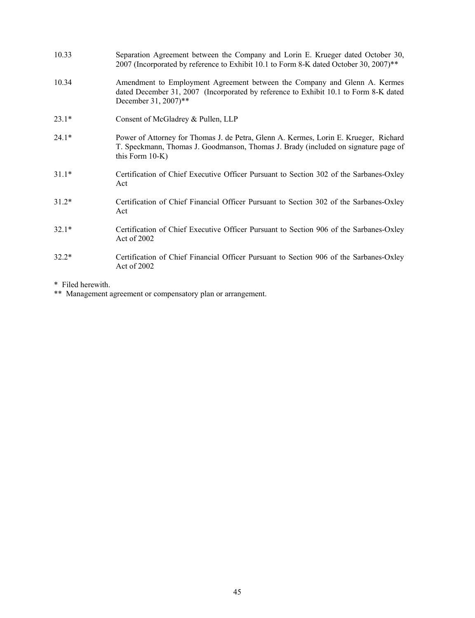| 10.33   | Separation Agreement between the Company and Lorin E. Krueger dated October 30,<br>2007 (Incorporated by reference to Exhibit 10.1 to Form 8-K dated October 30, 2007)**                         |
|---------|--------------------------------------------------------------------------------------------------------------------------------------------------------------------------------------------------|
| 10.34   | Amendment to Employment Agreement between the Company and Glenn A. Kermes<br>dated December 31, 2007 (Incorporated by reference to Exhibit 10.1 to Form 8-K dated<br>December 31, 2007)**        |
| $23.1*$ | Consent of McGladrey & Pullen, LLP                                                                                                                                                               |
| $24.1*$ | Power of Attorney for Thomas J. de Petra, Glenn A. Kermes, Lorin E. Krueger, Richard<br>T. Speckmann, Thomas J. Goodmanson, Thomas J. Brady (included on signature page of<br>this Form $10-K$ ) |
| $31.1*$ | Certification of Chief Executive Officer Pursuant to Section 302 of the Sarbanes-Oxley<br>Act                                                                                                    |
| $31.2*$ | Certification of Chief Financial Officer Pursuant to Section 302 of the Sarbanes-Oxley<br>Act                                                                                                    |
| $32.1*$ | Certification of Chief Executive Officer Pursuant to Section 906 of the Sarbanes-Oxley<br>Act of 2002                                                                                            |
| $32.2*$ | Certification of Chief Financial Officer Pursuant to Section 906 of the Sarbanes-Oxley<br>Act of 2002                                                                                            |

\* Filed herewith.

\*\* Management agreement or compensatory plan or arrangement.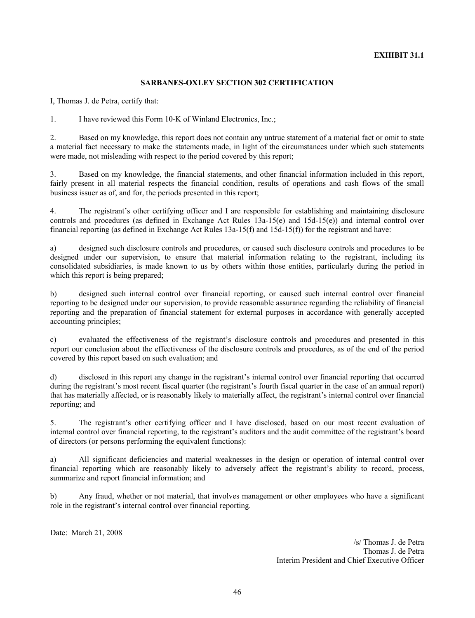#### **EXHIBIT 31.1**

#### **SARBANES-OXLEY SECTION 302 CERTIFICATION**

I, Thomas J. de Petra, certify that:

1. I have reviewed this Form 10-K of Winland Electronics, Inc.;

2. Based on my knowledge, this report does not contain any untrue statement of a material fact or omit to state a material fact necessary to make the statements made, in light of the circumstances under which such statements were made, not misleading with respect to the period covered by this report;

3. Based on my knowledge, the financial statements, and other financial information included in this report, fairly present in all material respects the financial condition, results of operations and cash flows of the small business issuer as of, and for, the periods presented in this report;

4. The registrant's other certifying officer and I are responsible for establishing and maintaining disclosure controls and procedures (as defined in Exchange Act Rules 13a-15(e) and 15d-15(e)) and internal control over financial reporting (as defined in Exchange Act Rules 13a-15(f) and 15d-15(f)) for the registrant and have:

a) designed such disclosure controls and procedures, or caused such disclosure controls and procedures to be designed under our supervision, to ensure that material information relating to the registrant, including its consolidated subsidiaries, is made known to us by others within those entities, particularly during the period in which this report is being prepared;

b) designed such internal control over financial reporting, or caused such internal control over financial reporting to be designed under our supervision, to provide reasonable assurance regarding the reliability of financial reporting and the preparation of financial statement for external purposes in accordance with generally accepted accounting principles;

c) evaluated the effectiveness of the registrant's disclosure controls and procedures and presented in this report our conclusion about the effectiveness of the disclosure controls and procedures, as of the end of the period covered by this report based on such evaluation; and

d) disclosed in this report any change in the registrant's internal control over financial reporting that occurred during the registrant's most recent fiscal quarter (the registrant's fourth fiscal quarter in the case of an annual report) that has materially affected, or is reasonably likely to materially affect, the registrant's internal control over financial reporting; and

5. The registrant's other certifying officer and I have disclosed, based on our most recent evaluation of internal control over financial reporting, to the registrant's auditors and the audit committee of the registrant's board of directors (or persons performing the equivalent functions):

a) All significant deficiencies and material weaknesses in the design or operation of internal control over financial reporting which are reasonably likely to adversely affect the registrant's ability to record, process, summarize and report financial information; and

b) Any fraud, whether or not material, that involves management or other employees who have a significant role in the registrant's internal control over financial reporting.

Date: March 21, 2008

/s/ Thomas J. de Petra Thomas J. de Petra Interim President and Chief Executive Officer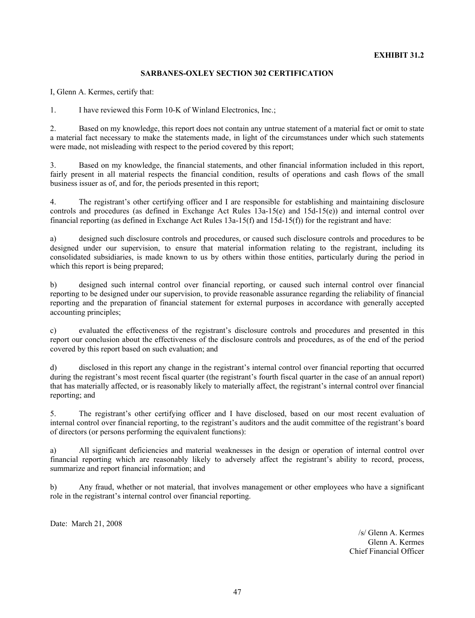#### **SARBANES-OXLEY SECTION 302 CERTIFICATION**

I, Glenn A. Kermes, certify that:

1. I have reviewed this Form 10-K of Winland Electronics, Inc.;

2. Based on my knowledge, this report does not contain any untrue statement of a material fact or omit to state a material fact necessary to make the statements made, in light of the circumstances under which such statements were made, not misleading with respect to the period covered by this report;

3. Based on my knowledge, the financial statements, and other financial information included in this report, fairly present in all material respects the financial condition, results of operations and cash flows of the small business issuer as of, and for, the periods presented in this report;

4. The registrant's other certifying officer and I are responsible for establishing and maintaining disclosure controls and procedures (as defined in Exchange Act Rules 13a-15(e) and 15d-15(e)) and internal control over financial reporting (as defined in Exchange Act Rules 13a-15(f) and 15d-15(f)) for the registrant and have:

a) designed such disclosure controls and procedures, or caused such disclosure controls and procedures to be designed under our supervision, to ensure that material information relating to the registrant, including its consolidated subsidiaries, is made known to us by others within those entities, particularly during the period in which this report is being prepared;

b) designed such internal control over financial reporting, or caused such internal control over financial reporting to be designed under our supervision, to provide reasonable assurance regarding the reliability of financial reporting and the preparation of financial statement for external purposes in accordance with generally accepted accounting principles;

c) evaluated the effectiveness of the registrant's disclosure controls and procedures and presented in this report our conclusion about the effectiveness of the disclosure controls and procedures, as of the end of the period covered by this report based on such evaluation; and

d) disclosed in this report any change in the registrant's internal control over financial reporting that occurred during the registrant's most recent fiscal quarter (the registrant's fourth fiscal quarter in the case of an annual report) that has materially affected, or is reasonably likely to materially affect, the registrant's internal control over financial reporting; and

5. The registrant's other certifying officer and I have disclosed, based on our most recent evaluation of internal control over financial reporting, to the registrant's auditors and the audit committee of the registrant's board of directors (or persons performing the equivalent functions):

a) All significant deficiencies and material weaknesses in the design or operation of internal control over financial reporting which are reasonably likely to adversely affect the registrant's ability to record, process, summarize and report financial information; and

b) Any fraud, whether or not material, that involves management or other employees who have a significant role in the registrant's internal control over financial reporting.

Date: March 21, 2008

/s/ Glenn A. Kermes Glenn A. Kermes Chief Financial Officer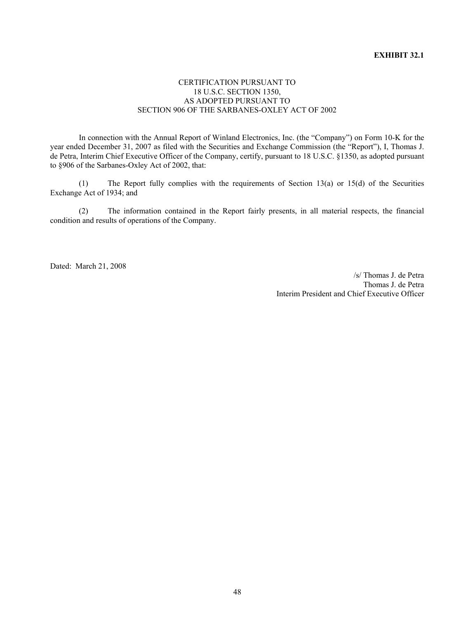#### **EXHIBIT 32.1**

#### CERTIFICATION PURSUANT TO 18 U.S.C. SECTION 1350, AS ADOPTED PURSUANT TO SECTION 906 OF THE SARBANES-OXLEY ACT OF 2002

 In connection with the Annual Report of Winland Electronics, Inc. (the "Company") on Form 10-K for the year ended December 31, 2007 as filed with the Securities and Exchange Commission (the "Report"), I, Thomas J. de Petra, Interim Chief Executive Officer of the Company, certify, pursuant to 18 U.S.C. §1350, as adopted pursuant to §906 of the Sarbanes-Oxley Act of 2002, that:

 (1) The Report fully complies with the requirements of Section 13(a) or 15(d) of the Securities Exchange Act of 1934; and

 (2) The information contained in the Report fairly presents, in all material respects, the financial condition and results of operations of the Company.

Dated: March 21, 2008

/s/ Thomas J. de Petra Thomas J. de Petra Interim President and Chief Executive Officer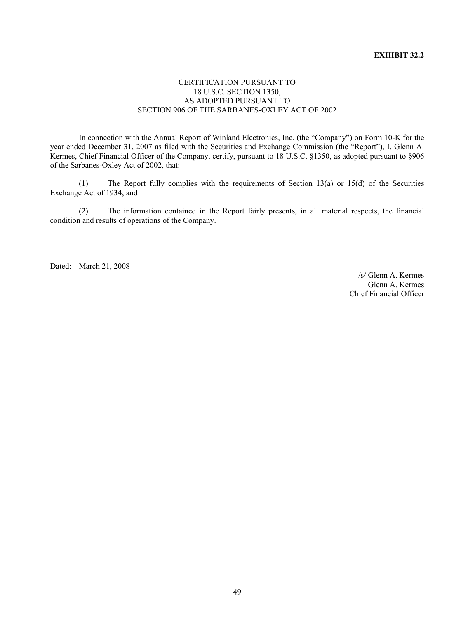#### **EXHIBIT 32.2**

#### CERTIFICATION PURSUANT TO 18 U.S.C. SECTION 1350, AS ADOPTED PURSUANT TO SECTION 906 OF THE SARBANES-OXLEY ACT OF 2002

 In connection with the Annual Report of Winland Electronics, Inc. (the "Company") on Form 10-K for the year ended December 31, 2007 as filed with the Securities and Exchange Commission (the "Report"), I, Glenn A. Kermes, Chief Financial Officer of the Company, certify, pursuant to 18 U.S.C. §1350, as adopted pursuant to §906 of the Sarbanes-Oxley Act of 2002, that:

 (1) The Report fully complies with the requirements of Section 13(a) or 15(d) of the Securities Exchange Act of 1934; and

 (2) The information contained in the Report fairly presents, in all material respects, the financial condition and results of operations of the Company.

Dated: March 21, 2008

/s/ Glenn A. Kermes Glenn A. Kermes Chief Financial Officer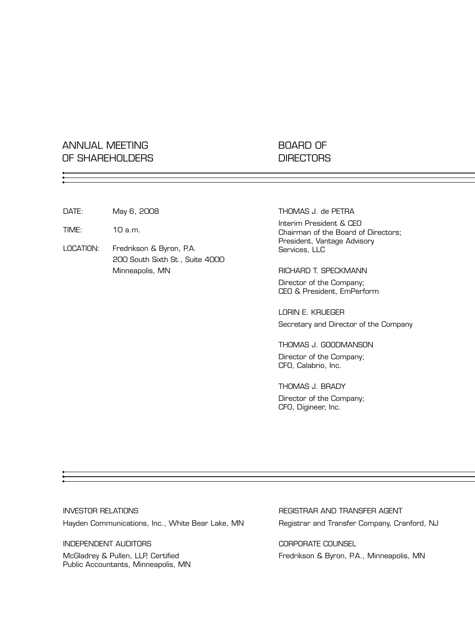# ANNUAL MEETING OF SHAREHOLDERS

# BOARD OF **DIRECTORS**

- DATE: May 6, 2008
- TIME: 10 a.m.
- LOCATION: Fredrikson & Byron, P.A. 200 South Sixth St., Suite 4000 Minneapolis, MN

THOMAS J. de PETRA

Interim President & CEO Chairman of the Board of Directors; President, Vantage Advisory Services, LLC

RICHARD T. SPECKMANN

Director of the Company; CEO & President, EmPerform

LORIN E. KRUEGER Secretary and Director of the Company

THOMAS J. GOODMANSON

Director of the Company; CFO, Calabrio, Inc.

THOMAS J. BRADY Director of the Company; CFO, Digineer, Inc.

INVESTOR RELATIONS Hayden Communications, Inc., White Bear Lake, MN

INDEPENDENT AUDITORS McGladrey & Pullen, LLP, Certified Public Accountants, Minneapolis, MN REGISTRAR AND TRANSFER AGENT Registrar and Transfer Company, Cranford, NJ

CORPORATE COUNSEL Fredrikson & Byron, P.A., Minneapolis, MN